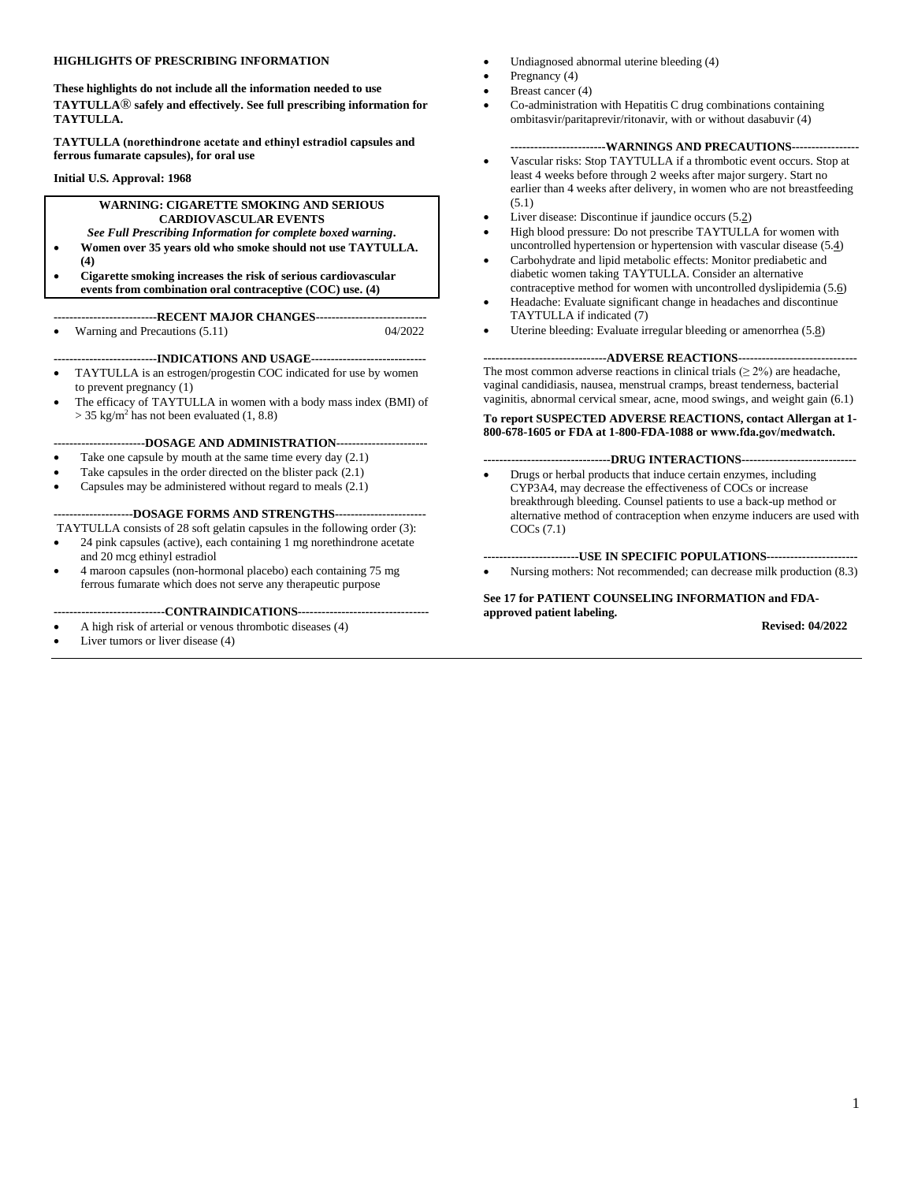### **HIGHLIGHTS OF PRESCRIBING INFORMATION**

**These highlights do not include all the information needed to use TAYTULLA**® **safely and effectively. Se[e full prescribing information](#page-2-0) for TAYTULLA.**

**TAYTULLA (norethindrone acetate and ethinyl estradiol capsules and ferrous fumarate capsules), for oral use**

**Initial U.S. Approval: 1968**

### **WARNING: CIGARETTE SMOKING AND SERIOUS CARDIOVASCULAR EVENTS**

### *See Full Prescribing Information for complete boxed warning***.**

- **Women over 35 years old who smoke should not use TAYTULLA. [\(4\)](#page-4-0)**
- **Cigarette smoking increases the risk of serious cardiovascular events from combination oral contraceptive (COC) use. [\(4\)](#page-4-0)**

**--------------------------RECENT MAJOR CHANGES----------------------------**

• Warning and Precautions (5.11) 04/2022

**--------------------------INDICATIONS AND USAGE-----------------------------**

- TAYTULLA is an estrogen/progestin COC indicated for use by women to prevent pregnancy [\(1\)](#page-2-1)
- The efficacy of TAYTULLA in women with a body mass index (BMI) of  $>$  35 kg/m<sup>2</sup> has not been evaluated [\(1,](#page-2-1) [8.8\)](#page-12-0)

**-----------------------DOSAGE AND ADMINISTRATION-----------------------**

- Take one capsule by mouth at the same time every day  $(2.1)$
- Take capsules in the order directed on the blister pack  $(2.1)$
- Capsules may be administered without regard to meals [\(2.1\)](#page-2-2)

**--------------------DOSAGE FORMS AND STRENGTHS-----------------------**

- TAYTULLA consists of 28 soft gelatin capsules in the following order [\(3\)](#page-4-1): • 24 pink capsules (active), each containing 1 mg norethindrone acetate and 20 mcg ethinyl estradiol
- 4 maroon capsules (non-hormonal placebo) each containing 75 mg ferrous fumarate which does not serve any therapeutic purpose

#### **----------------------------CONTRAINDICATIONS---------------------------------**

- A high risk of arterial or venous thrombotic diseases [\(4\)](#page-4-0)
- Liver tumors or liver disease [\(4\)](#page-4-0)
- Undiagnosed abnormal uterine bleeding [\(4\)](#page-4-0)
- Pregnancy [\(4\)](#page-4-0)
- Breast cancer [\(4\)](#page-4-0)
- Co-administration with Hepatitis C drug combinations containing ombitasvir/paritaprevir/ritonavir, with or without dasabuvir [\(4\)](#page-4-0)

### **------------------------WARNINGS AND PRECAUTIONS-----------------**

- Vascular risks: Stop TAYTULLA if a thrombotic event occurs. Stop at least 4 weeks before through 2 weeks after major surgery. Start no earlier than 4 weeks after delivery, in women who are not breastfeeding [\(5.1\)](#page-5-0)
- Liver disease: Discontinue if jaundice occurs [\(5.2](#page-5-1))
- High blood pressure: Do not prescribe TAYTULLA for women with uncontrolled hypertension or hypertension with vascular disease [\(5.4](#page-6-0))
- Carbohydrate and lipid metabolic effects: Monitor prediabetic and diabetic women taking TAYTULLA. Consider an alternative contraceptive method for women with uncontrolled dyslipidemia [\(5.6](#page-6-1))
- Headache: Evaluate significant change in headaches and discontinue TAYTULLA if indicated [\(7\)](#page-10-0)
- Uterine bleeding: Evaluate irregular bleeding or amenorrhea [\(5.8](#page-6-2))

**-------------------------------ADVERSE REACTIONS------------------------------** The most common adverse reactions in clinical trials  $(≥ 2%)$  are headache, vaginal candidiasis, nausea, menstrual cramps, breast tenderness, bacterial vaginitis, abnormal cervical smear, acne, mood swings, and weight gain [\(6.1\)](#page-8-0)

#### **To report SUSPECTED ADVERSE REACTIONS, contact Allergan at 1- 800-678-1605 or FDA at 1-800-FDA-1088 or www.fda.gov/medwatch***.*

### **--------------------------------DRUG INTERACTIONS-----------------------------**

• Drugs or herbal products that induce certain enzymes, including CYP3A4, may decrease the effectiveness of COCs or increase breakthrough bleeding. Counsel patients to use a back-up method or alternative method of contraception when enzyme inducers are used with COCs [\(7.1\)](#page-10-1)

### **------------------------USE IN SPECIFIC POPULATIONS-----------------------**

• Nursing mothers: Not recommended; can decrease milk production [\(8.3\)](#page-12-1)

### **Se[e 17](#page-19-0) for PATIENT COUNSELING INFORMATION an[d FDA](#page-21-0)approved [patient labeling.](#page-21-0)**

 **Revised: 04/2022**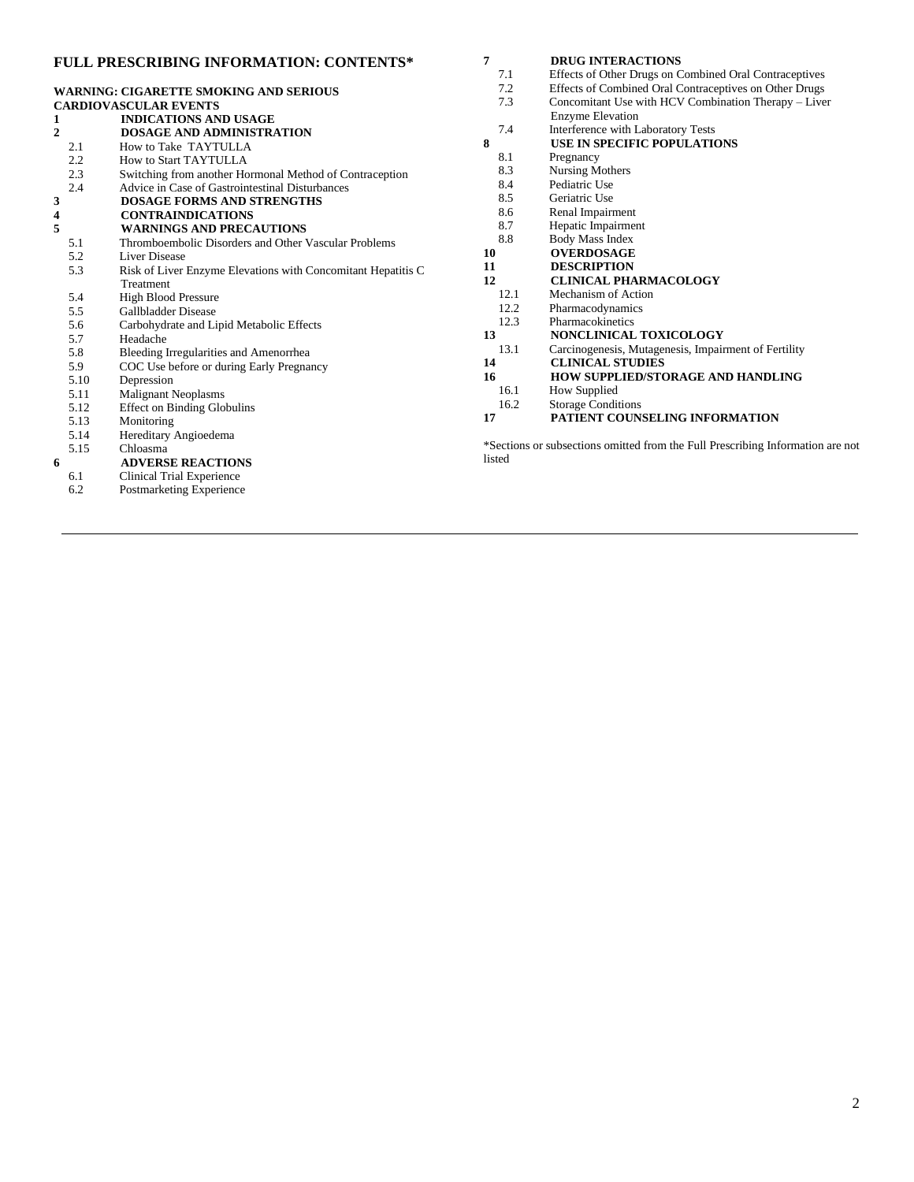### **FULL PRESCRIBING INFORMATION: CONTENTS\* 7 [DRUG INTERACTIONS](#page-10-0)**

6.2 [Postmarketing Experience](#page-9-0)

|                |                                                              | 7.1                                                                            | Effects of Other Drugs on Combined Oral Contraceptives |  |  |
|----------------|--------------------------------------------------------------|--------------------------------------------------------------------------------|--------------------------------------------------------|--|--|
|                | <b>WARNING: CIGARETTE SMOKING AND SERIOUS</b>                | 7.2                                                                            | Effects of Combined Oral Contraceptives on Other Drugs |  |  |
|                | <b>CARDIOVASCULAR EVENTS</b>                                 | 7.3                                                                            | Concomitant Use with HCV Combination Therapy - Liver   |  |  |
| 1              | <b>INDICATIONS AND USAGE</b>                                 |                                                                                | <b>Enzyme Elevation</b>                                |  |  |
| $\overline{2}$ | <b>DOSAGE AND ADMINISTRATION</b>                             | 7.4                                                                            | Interference with Laboratory Tests                     |  |  |
| 2.1            | How to Take TAYTULLA                                         | 8                                                                              | USE IN SPECIFIC POPULATIONS                            |  |  |
| 2.2            | How to Start TAYTULLA                                        | 8.1                                                                            | Pregnancy                                              |  |  |
| 2.3            | Switching from another Hormonal Method of Contraception      | 8.3                                                                            | Nursing Mothers                                        |  |  |
| 2.4            | Advice in Case of Gastrointestinal Disturbances              | 8.4                                                                            | Pediatric Use                                          |  |  |
| 3              | <b>DOSAGE FORMS AND STRENGTHS</b>                            | 8.5                                                                            | Geriatric Use                                          |  |  |
| 4              | <b>CONTRAINDICATIONS</b>                                     | 8.6                                                                            | Renal Impairment                                       |  |  |
| 5              | <b>WARNINGS AND PRECAUTIONS</b>                              | 8.7                                                                            | Hepatic Impairment                                     |  |  |
| 5.1            | Thromboembolic Disorders and Other Vascular Problems         | 8.8                                                                            | <b>Body Mass Index</b>                                 |  |  |
| 5.2            | Liver Disease                                                | 10                                                                             | <b>OVERDOSAGE</b>                                      |  |  |
| 5.3            | Risk of Liver Enzyme Elevations with Concomitant Hepatitis C | 11                                                                             | <b>DESCRIPTION</b>                                     |  |  |
|                | Treatment                                                    | 12                                                                             | <b>CLINICAL PHARMACOLOGY</b>                           |  |  |
| 5.4            | <b>High Blood Pressure</b>                                   | 12.1                                                                           | Mechanism of Action                                    |  |  |
| 5.5            | <b>Gallbladder Disease</b>                                   | 12.2                                                                           | Pharmacodynamics                                       |  |  |
| 5.6            | Carbohydrate and Lipid Metabolic Effects                     | 12.3                                                                           | Pharmacokinetics                                       |  |  |
| 5.7            | Headache                                                     | 13                                                                             | NONCLINICAL TOXICOLOGY                                 |  |  |
| 5.8            | Bleeding Irregularities and Amenorrhea                       | 13.1                                                                           | Carcinogenesis, Mutagenesis, Impairment of Fertility   |  |  |
| 5.9            | COC Use before or during Early Pregnancy                     | 14                                                                             | <b>CLINICAL STUDIES</b>                                |  |  |
| 5.10           | Depression                                                   | 16                                                                             | HOW SUPPLIED/STORAGE AND HANDLING                      |  |  |
| 5.11           | <b>Malignant Neoplasms</b>                                   | 16.1                                                                           | How Supplied                                           |  |  |
| 5.12           | <b>Effect on Binding Globulins</b>                           | 16.2                                                                           | <b>Storage Conditions</b>                              |  |  |
| 5.13           | Monitoring                                                   | 17                                                                             | PATIENT COUNSELING INFORMATION                         |  |  |
| 5.14           | Hereditary Angioedema                                        |                                                                                |                                                        |  |  |
| 5.15           | Chloasma                                                     | *Sections or subsections omitted from the Full Prescribing Information are not |                                                        |  |  |
| 6              | <b>ADVERSE REACTIONS</b>                                     | listed                                                                         |                                                        |  |  |
| 6.1            | Clinical Trial Experience                                    |                                                                                |                                                        |  |  |

2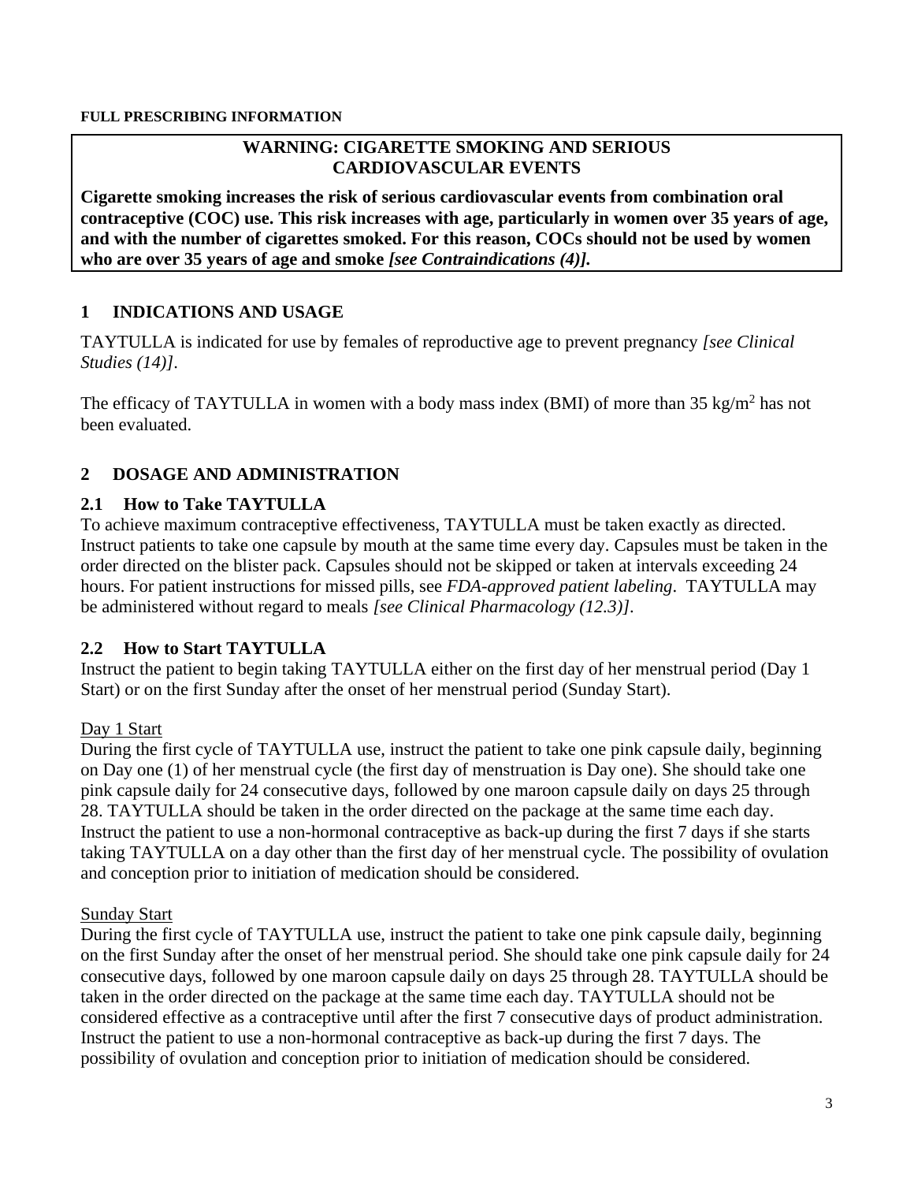### **WARNING: CIGARETTE SMOKING AND SERIOUS CARDIOVASCULAR EVENTS**

<span id="page-2-0"></span>**Cigarette smoking increases the risk of serious cardiovascular events from combination oral contraceptive (COC) use. This risk increases with age, particularly in women over 35 years of age, and with the number of cigarettes smoked. For this reason, COCs should not be used by women who are over 35 years of age and smoke** *[see [Contraindications \(4\)\]](#page-4-0).*

## <span id="page-2-1"></span>**1 INDICATIONS AND USAGE**

TAYTULLA is indicated for use by females of reproductive age to prevent pregnancy *[see [Clinical](#page-18-2)  [Studies \(14\)\]](#page-18-2)*.

The efficacy of TAYTULLA in women with a body mass index (BMI) of more than  $35 \text{ kg/m}^2$  has not been evaluated.

## <span id="page-2-3"></span>**2 DOSAGE AND ADMINISTRATION**

### <span id="page-2-2"></span>**2.1 How to Take TAYTULLA**

To achieve maximum contraceptive effectiveness, TAYTULLA must be taken exactly as directed. Instruct patients to take one capsule by mouth at the same time every day. Capsules must be taken in the order directed on the blister pack. Capsules should not be skipped or taken at intervals exceeding 24 hours. For patient instructions for missed pills, see *[FDA-approved patient labeling](#page-21-0)*. TAYTULLA may be administered without regard to meals *[see [Clinical Pharmacology \(12.3\)\]](#page-13-3)*.

## <span id="page-2-4"></span>**2.2 How to Start TAYTULLA**

Instruct the patient to begin taking TAYTULLA either on the first day of her menstrual period (Day 1 Start) or on the first Sunday after the onset of her menstrual period (Sunday Start).

### Day 1 Start

During the first cycle of TAYTULLA use, instruct the patient to take one pink capsule daily, beginning on Day one (1) of her menstrual cycle (the first day of menstruation is Day one). She should take one pink capsule daily for 24 consecutive days, followed by one maroon capsule daily on days 25 through 28. TAYTULLA should be taken in the order directed on the package at the same time each day. Instruct the patient to use a non-hormonal contraceptive as back-up during the first 7 days if she starts taking TAYTULLA on a day other than the first day of her menstrual cycle. The possibility of ovulation and conception prior to initiation of medication should be considered.

### Sunday Start

During the first cycle of TAYTULLA use, instruct the patient to take one pink capsule daily, beginning on the first Sunday after the onset of her menstrual period. She should take one pink capsule daily for 24 consecutive days, followed by one maroon capsule daily on days 25 through 28. TAYTULLA should be taken in the order directed on the package at the same time each day. TAYTULLA should not be considered effective as a contraceptive until after the first 7 consecutive days of product administration. Instruct the patient to use a non-hormonal contraceptive as back-up during the first 7 days. The possibility of ovulation and conception prior to initiation of medication should be considered.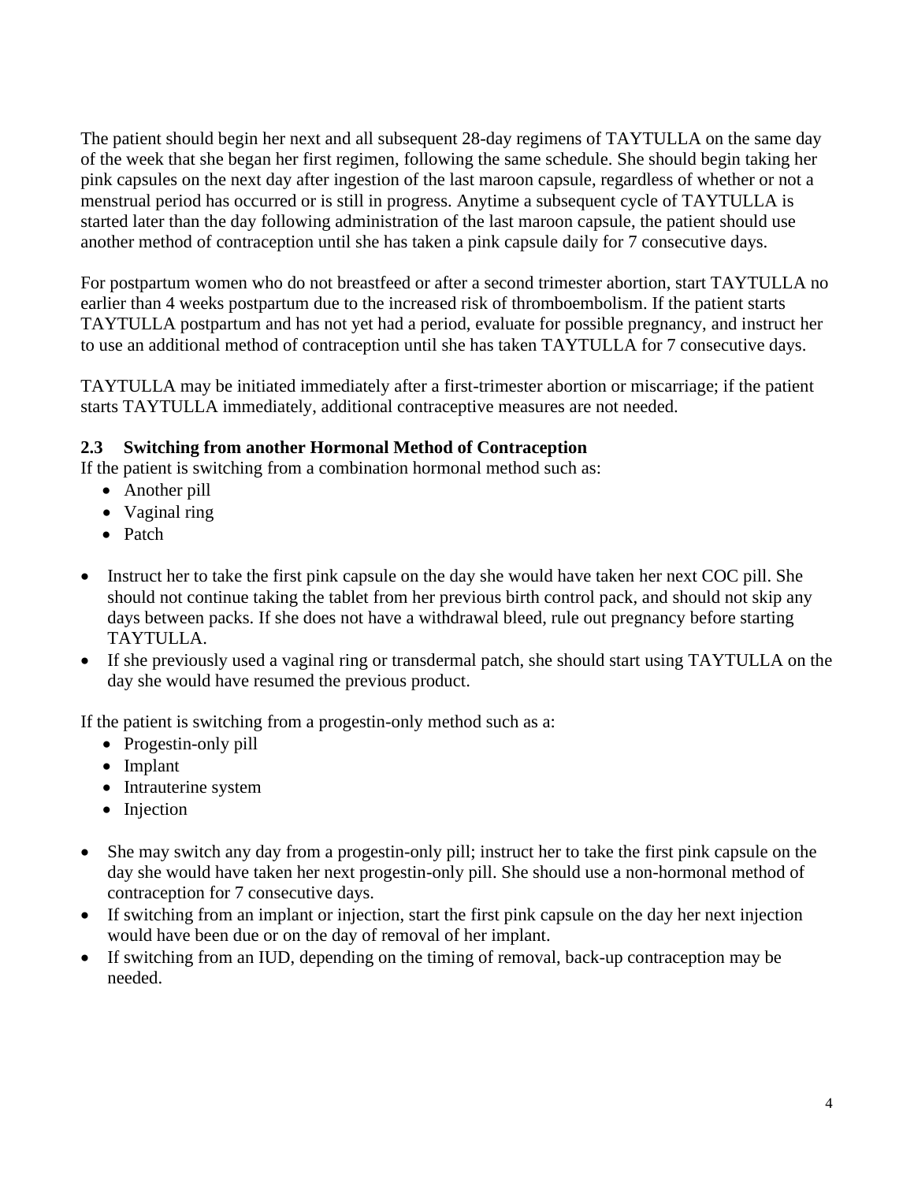The patient should begin her next and all subsequent 28-day regimens of TAYTULLA on the same day of the week that she began her first regimen, following the same schedule. She should begin taking her pink capsules on the next day after ingestion of the last maroon capsule, regardless of whether or not a menstrual period has occurred or is still in progress. Anytime a subsequent cycle of TAYTULLA is started later than the day following administration of the last maroon capsule, the patient should use another method of contraception until she has taken a pink capsule daily for 7 consecutive days.

For postpartum women who do not breastfeed or after a second trimester abortion, start TAYTULLA no earlier than 4 weeks postpartum due to the increased risk of thromboembolism. If the patient starts TAYTULLA postpartum and has not yet had a period, evaluate for possible pregnancy, and instruct her to use an additional method of contraception until she has taken TAYTULLA for 7 consecutive days.

TAYTULLA may be initiated immediately after a first-trimester abortion or miscarriage; if the patient starts TAYTULLA immediately, additional contraceptive measures are not needed.

## <span id="page-3-0"></span>**2.3 Switching from another Hormonal Method of Contraception**

If the patient is switching from a combination hormonal method such as:

- Another pill
- Vaginal ring
- Patch
- Instruct her to take the first pink capsule on the day she would have taken her next COC pill. She should not continue taking the tablet from her previous birth control pack, and should not skip any days between packs. If she does not have a withdrawal bleed, rule out pregnancy before starting TAYTULLA.
- If she previously used a vaginal ring or transdermal patch, she should start using TAYTULLA on the day she would have resumed the previous product.

If the patient is switching from a progestin-only method such as a:

- Progestin-only pill
- Implant
- Intrauterine system
- Injection
- She may switch any day from a progestin-only pill; instruct her to take the first pink capsule on the day she would have taken her next progestin-only pill. She should use a non-hormonal method of contraception for 7 consecutive days.
- If switching from an implant or injection, start the first pink capsule on the day her next injection would have been due or on the day of removal of her implant.
- If switching from an IUD, depending on the timing of removal, back-up contraception may be needed.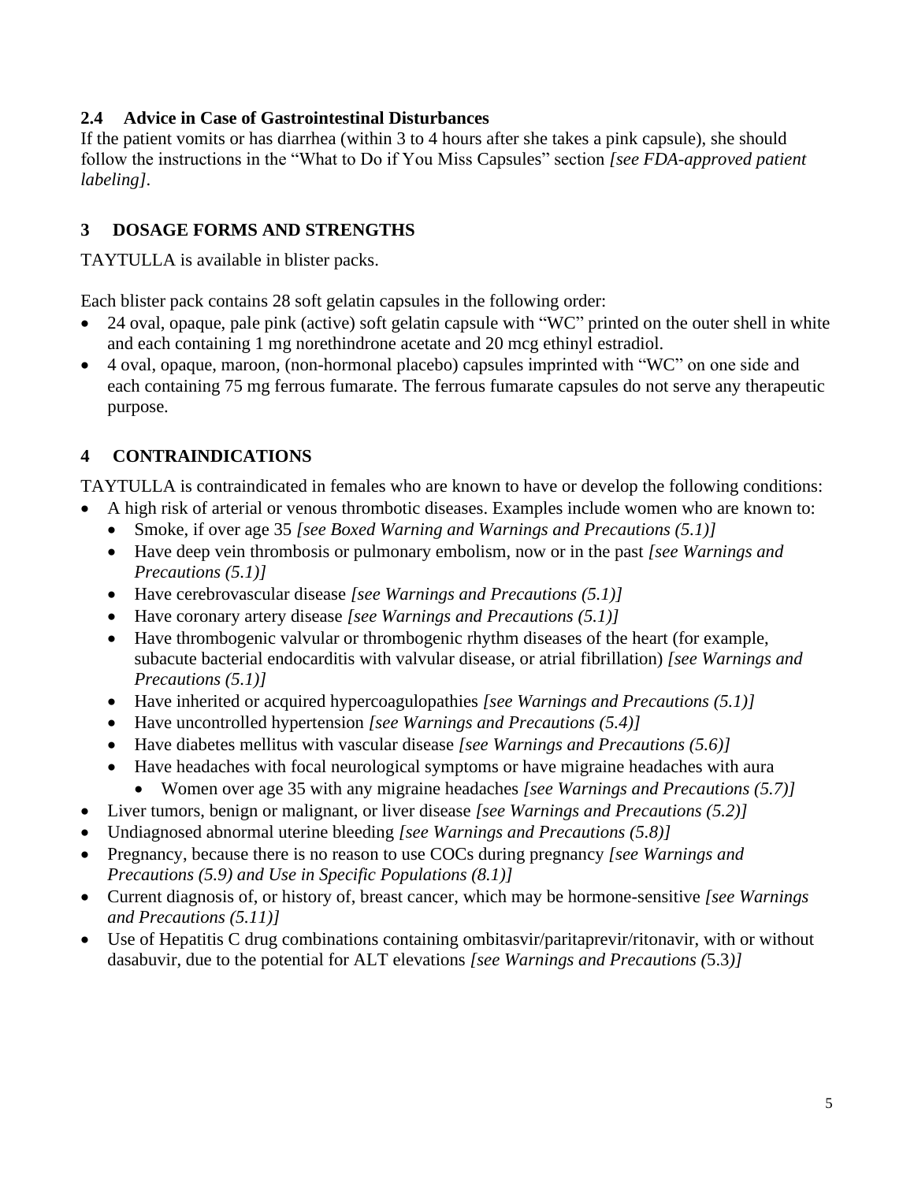### <span id="page-4-2"></span>**2.4 Advice in Case of Gastrointestinal Disturbances**

If the patient vomits or has diarrhea (within 3 to 4 hours after she takes a pink capsule), she should follow the instructions in the "What to Do if You Miss Capsules" section *[see [FDA-approved patient](#page-21-0)  [labeling\]](#page-21-0)*.

## <span id="page-4-1"></span>**3 DOSAGE FORMS AND STRENGTHS**

TAYTULLA is available in blister packs.

Each blister pack contains 28 soft gelatin capsules in the following order:

- 24 oval, opaque, pale pink (active) soft gelatin capsule with "WC" printed on the outer shell in white and each containing 1 mg norethindrone acetate and 20 mcg ethinyl estradiol.
- 4 oval, opaque, maroon, (non-hormonal placebo) capsules imprinted with "WC" on one side and each containing 75 mg ferrous fumarate. The ferrous fumarate capsules do not serve any therapeutic purpose.

# <span id="page-4-0"></span>**4 CONTRAINDICATIONS**

TAYTULLA is contraindicated in females who are known to have or develop the following conditions:

- A high risk of arterial or venous thrombotic diseases. Examples include women who are known to:
	- Smoke, if over age 35 *[see [Boxed Warning](#page-2-0) and [Warnings and Precautions \(5.1\)\]](#page-5-0)*
	- Have deep vein thrombosis or pulmonary embolism, now or in the past *[see [Warnings and](#page-5-0)  [Precautions \(5.1\)\]](#page-5-0)*
	- Have cerebrovascular disease *[see [Warnings and Precautions \(5.1\)\]](#page-5-0)*
	- Have coronary artery disease *[see [Warnings and Precautions](#page-5-0) (5.1)]*
	- Have thrombogenic valvular or thrombogenic rhythm diseases of the heart (for example, subacute bacterial endocarditis with valvular disease, or atrial fibrillation) *[see [Warnings and](#page-5-0)  [Precautions \(5.1\)\]](#page-5-0)*
	- Have inherited or acquired hypercoagulopathies *[see [Warnings and Precautions \(5.1\)\]](#page-5-0)*
	- Have uncontrolled hypertension *[see [Warnings and Precautions \(5.4\)\]](#page-6-0)*
	- Have diabetes mellitus with vascular disease *[see [Warnings and Precautions \(5.6\)\]](#page-6-1)*
	- Have headaches with focal neurological symptoms or have migraine headaches with aura
		- Women over age 35 with any migraine headaches *[see [Warnings and Precautions \(5.7\)\]](#page-6-5)*
- Liver tumors, benign or malignant, or liver disease *[see Warnings and [Precautions \(5.2\)\]](#page-5-1)*
- Undiagnosed abnormal uterine bleeding *[see [Warnings and Precautions \(5.8\)\]](#page-6-2)*
- Pregnancy, because there is no reason to use COCs during pregnancy *[see [Warnings and](#page-7-0)  [Precautions \(5.9\)](#page-7-0) and [Use in Specific Populations \(8.1\)\]](#page-11-4)*
- Current diagnosis of, or history of, breast cancer, which may be hormone-sensitive *[see [Warnings](#page-7-2)  [and Precautions \(5.11\)\]](#page-7-2)*
- Use of Hepatitis C drug combinations containing ombitasvir/paritaprevir/ritonavir, with or without dasabuvir, due to the potential for ALT elevations *[see Warnings and Precautions (*[5.3](#page-6-0)*)]*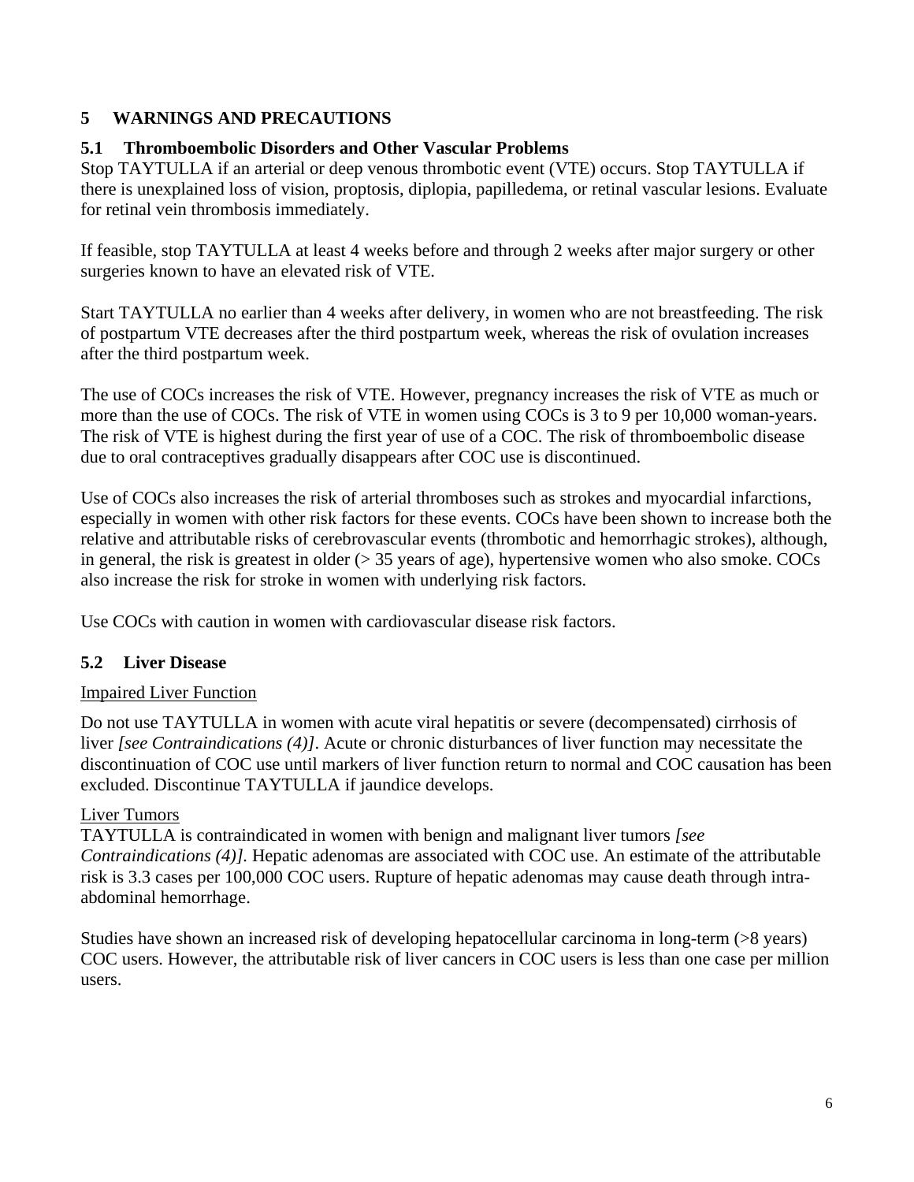### <span id="page-5-2"></span>**5 WARNINGS AND PRECAUTIONS**

### <span id="page-5-0"></span>**5.1 Thromboembolic Disorders and Other Vascular Problems**

Stop TAYTULLA if an arterial or deep venous thrombotic event (VTE) occurs. Stop TAYTULLA if there is unexplained loss of vision, proptosis, diplopia, papilledema, or retinal vascular lesions. Evaluate for retinal vein thrombosis immediately.

If feasible, stop TAYTULLA at least 4 weeks before and through 2 weeks after major surgery or other surgeries known to have an elevated risk of VTE.

Start TAYTULLA no earlier than 4 weeks after delivery, in women who are not breastfeeding. The risk of postpartum VTE decreases after the third postpartum week, whereas the risk of ovulation increases after the third postpartum week.

The use of COCs increases the risk of VTE. However, pregnancy increases the risk of VTE as much or more than the use of COCs. The risk of VTE in women using COCs is 3 to 9 per 10,000 woman-years. The risk of VTE is highest during the first year of use of a COC. The risk of thromboembolic disease due to oral contraceptives gradually disappears after COC use is discontinued.

Use of COCs also increases the risk of arterial thromboses such as strokes and myocardial infarctions, especially in women with other risk factors for these events. COCs have been shown to increase both the relative and attributable risks of cerebrovascular events (thrombotic and hemorrhagic strokes), although, in general, the risk is greatest in older  $(> 35$  years of age), hypertensive women who also smoke. COCs also increase the risk for stroke in women with underlying risk factors.

Use COCs with caution in women with cardiovascular disease risk factors.

## <span id="page-5-1"></span>**5.2 Liver Disease**

### Impaired Liver Function

Do not use TAYTULLA in women with acute viral hepatitis or severe (decompensated) cirrhosis of liver *[\[see Contraindications \(4\)\]](#page-4-0)*. Acute or chronic disturbances of liver function may necessitate the discontinuation of COC use until markers of liver function return to normal and COC causation has been excluded. Discontinue TAYTULLA if jaundice develops.

### Liver Tumors

TAYTULLA is contraindicated in women with benign and malignant liver tumors *[see [Contraindications \(4\)\]](#page-4-0).* Hepatic adenomas are associated with COC use. An estimate of the attributable risk is 3.3 cases per 100,000 COC users. Rupture of hepatic adenomas may cause death through intraabdominal hemorrhage.

Studies have shown an increased risk of developing hepatocellular carcinoma in long-term (>8 years) COC users. However, the attributable risk of liver cancers in COC users is less than one case per million users.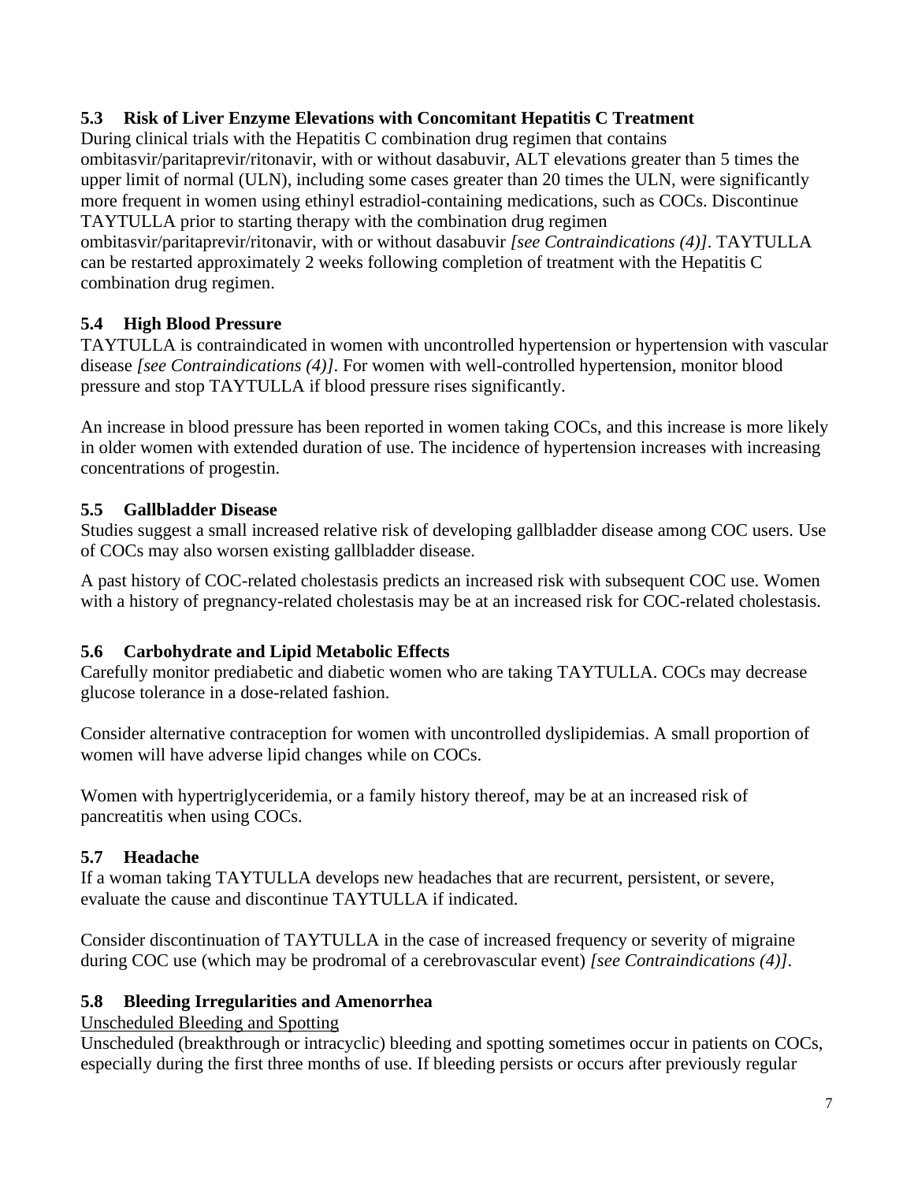## <span id="page-6-3"></span>**5.3 Risk of Liver Enzyme Elevations with Concomitant Hepatitis C Treatment**

During clinical trials with the Hepatitis C combination drug regimen that contains ombitasvir/paritaprevir/ritonavir, with or without dasabuvir, ALT elevations greater than 5 times the upper limit of normal (ULN), including some cases greater than 20 times the ULN, were significantly more frequent in women using ethinyl estradiol-containing medications, such as COCs. Discontinue TAYTULLA prior to starting therapy with the combination drug regimen

ombitasvir/paritaprevir/ritonavir, with or without dasabuvir *[see [Contraindications \(4\)\]](#page-4-0)*. TAYTULLA can be restarted approximately 2 weeks following completion of treatment with the Hepatitis C combination drug regimen.

## <span id="page-6-0"></span>**5.4 High Blood Pressure**

TAYTULLA is contraindicated in women with uncontrolled hypertension or hypertension with vascular disease *[see [Contraindications \(4\)\]](#page-4-0)*. For women with well-controlled hypertension, monitor blood pressure and stop TAYTULLA if blood pressure rises significantly.

An increase in blood pressure has been reported in women taking COCs, and this increase is more likely in older women with extended duration of use. The incidence of hypertension increases with increasing concentrations of progestin.

### <span id="page-6-4"></span>**5.5 Gallbladder Disease**

Studies suggest a small increased relative risk of developing gallbladder disease among COC users. Use of COCs may also worsen existing gallbladder disease.

A past history of COC-related cholestasis predicts an increased risk with subsequent COC use. Women with a history of pregnancy-related cholestasis may be at an increased risk for COC-related cholestasis.

## <span id="page-6-1"></span>**5.6 Carbohydrate and Lipid Metabolic Effects**

Carefully monitor prediabetic and diabetic women who are taking TAYTULLA. COCs may decrease glucose tolerance in a dose-related fashion.

Consider alternative contraception for women with uncontrolled dyslipidemias. A small proportion of women will have adverse lipid changes while on COCs.

Women with hypertriglyceridemia, or a family history thereof, may be at an increased risk of pancreatitis when using COCs.

## <span id="page-6-5"></span>**5.7 Headache**

If a woman taking TAYTULLA develops new headaches that are recurrent, persistent, or severe, evaluate the cause and discontinue TAYTULLA if indicated.

Consider discontinuation of TAYTULLA in the case of increased frequency or severity of migraine during COC use (which may be prodromal of a cerebrovascular event) *[see [Contraindications \(4\)\]](#page-4-0)*.

## <span id="page-6-2"></span>**5.8 Bleeding Irregularities and Amenorrhea**

Unscheduled Bleeding and Spotting

Unscheduled (breakthrough or intracyclic) bleeding and spotting sometimes occur in patients on COCs, especially during the first three months of use. If bleeding persists or occurs after previously regular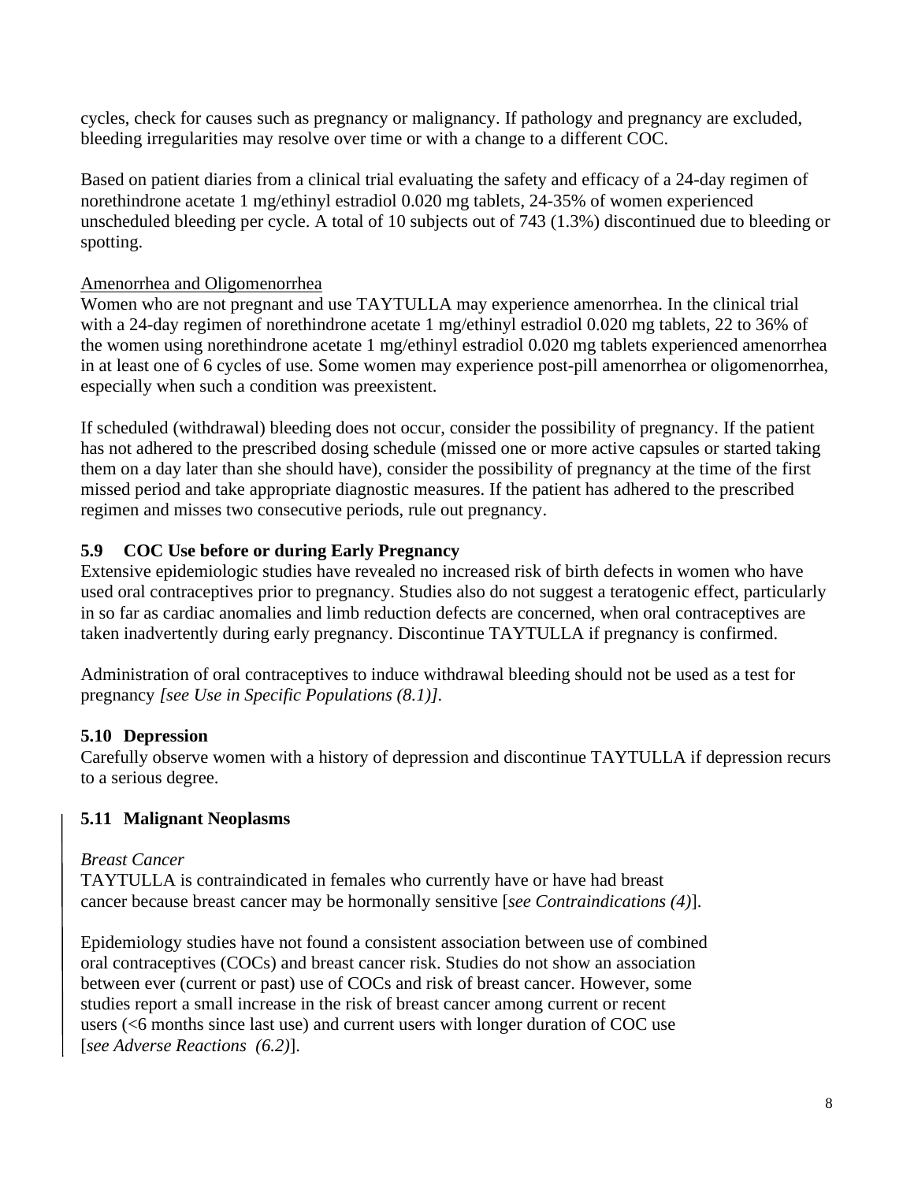cycles, check for causes such as pregnancy or malignancy. If pathology and pregnancy are excluded, bleeding irregularities may resolve over time or with a change to a different COC.

Based on patient diaries from a clinical trial evaluating the safety and efficacy of a 24-day regimen of norethindrone acetate 1 mg/ethinyl estradiol 0.020 mg tablets, 24-35% of women experienced unscheduled bleeding per cycle. A total of 10 subjects out of 743 (1.3%) discontinued due to bleeding or spotting.

### Amenorrhea and Oligomenorrhea

Women who are not pregnant and use TAYTULLA may experience amenorrhea. In the clinical trial with a 24-day regimen of norethindrone acetate 1 mg/ethinyl estradiol 0.020 mg tablets, 22 to 36% of the women using norethindrone acetate 1 mg/ethinyl estradiol 0.020 mg tablets experienced amenorrhea in at least one of 6 cycles of use. Some women may experience post-pill amenorrhea or oligomenorrhea, especially when such a condition was preexistent.

If scheduled (withdrawal) bleeding does not occur, consider the possibility of pregnancy. If the patient has not adhered to the prescribed dosing schedule (missed one or more active capsules or started taking them on a day later than she should have), consider the possibility of pregnancy at the time of the first missed period and take appropriate diagnostic measures. If the patient has adhered to the prescribed regimen and misses two consecutive periods, rule out pregnancy.

### <span id="page-7-0"></span>**5.9 COC Use before or during Early Pregnancy**

Extensive epidemiologic studies have revealed no increased risk of birth defects in women who have used oral contraceptives prior to pregnancy. Studies also do not suggest a teratogenic effect, particularly in so far as cardiac anomalies and limb reduction defects are concerned, when oral contraceptives are taken inadvertently during early pregnancy. Discontinue TAYTULLA if pregnancy is confirmed.

Administration of oral contraceptives to induce withdrawal bleeding should not be used as a test for pregnancy *[see Use in Specific [Populations \(8.1\)\]](#page-11-4).*

### <span id="page-7-1"></span>**5.10 Depression**

Carefully observe women with a history of depression and discontinue TAYTULLA if depression recurs to a serious degree.

### <span id="page-7-2"></span>**5.11 Malignant Neoplasms**

### *Breast Cancer*

TAYTULLA is contraindicated in females who currently have or have had breast cancer because breast cancer may be hormonally sensitive [*see Contraindications (4)*].

Epidemiology studies have not found a consistent association between use of combined oral contraceptives (COCs) and breast cancer risk. Studies do not show an association between ever (current or past) use of COCs and risk of breast cancer. However, some studies report a small increase in the risk of breast cancer among current or recent users (<6 months since last use) and current users with longer duration of COC use [*see Adverse Reactions (6.2)*].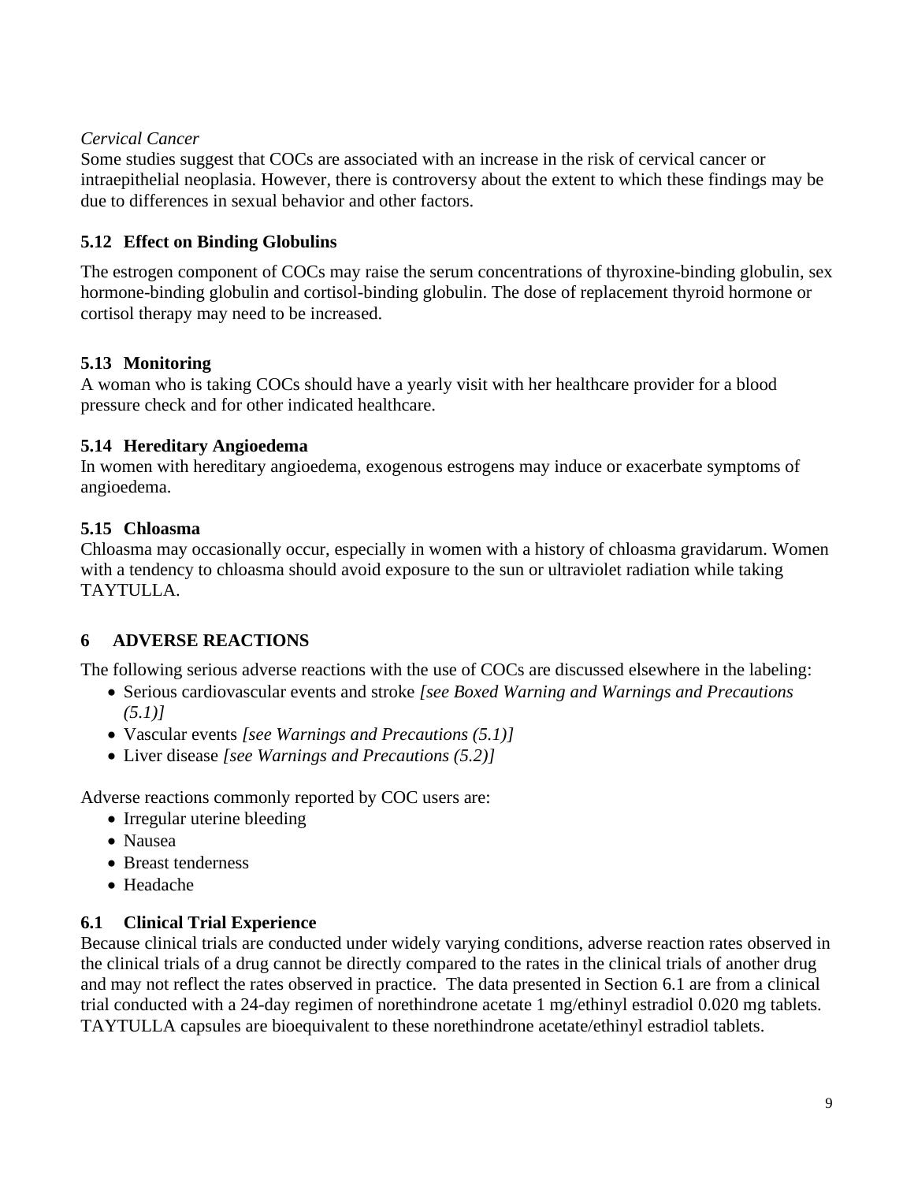### *Cervical Cancer*

Some studies suggest that COCs are associated with an increase in the risk of cervical cancer or intraepithelial neoplasia. However, there is controversy about the extent to which these findings may be due to differences in sexual behavior and other factors.

### <span id="page-8-1"></span>**5.12 Effect on Binding Globulins**

The estrogen component of COCs may raise the serum concentrations of thyroxine-binding globulin, sex hormone-binding globulin and cortisol-binding globulin. The dose of replacement thyroid hormone or cortisol therapy may need to be increased.

### <span id="page-8-2"></span>**5.13 Monitoring**

A woman who is taking COCs should have a yearly visit with her healthcare provider for a blood pressure check and for other indicated healthcare.

### <span id="page-8-3"></span>**5.14 Hereditary Angioedema**

In women with hereditary angioedema, exogenous estrogens may induce or exacerbate symptoms of angioedema.

## <span id="page-8-4"></span>**5.15 Chloasma**

Chloasma may occasionally occur, especially in women with a history of chloasma gravidarum. Women with a tendency to chloasma should avoid exposure to the sun or ultraviolet radiation while taking TAYTULLA.

# <span id="page-8-5"></span>**6 ADVERSE REACTIONS**

The following serious adverse reactions with the use of COCs are discussed elsewhere in the labeling:

- Serious cardiovascular events and stroke *[see [Boxed Warning](#page-2-0) and [Warnings and Precautions](#page-5-0)  [\(5.1\)\]](#page-5-0)*
- Vascular events *[see [Warnings and Precautions \(5.1\)\]](#page-5-0)*
- Liver disease *[see [Warnings and Precautions \(5.2\)\]](#page-5-1)*

Adverse reactions commonly reported by COC users are:

- Irregular uterine bleeding
- Nausea
- Breast tenderness
- Headache

## <span id="page-8-0"></span>**6.1 Clinical Trial Experience**

Because clinical trials are conducted under widely varying conditions, adverse reaction rates observed in the clinical trials of a drug cannot be directly compared to the rates in the clinical trials of another drug and may not reflect the rates observed in practice. The data presented in Section 6.1 are from a clinical trial conducted with a 24-day regimen of norethindrone acetate 1 mg/ethinyl estradiol 0.020 mg tablets. TAYTULLA capsules are bioequivalent to these norethindrone acetate/ethinyl estradiol tablets.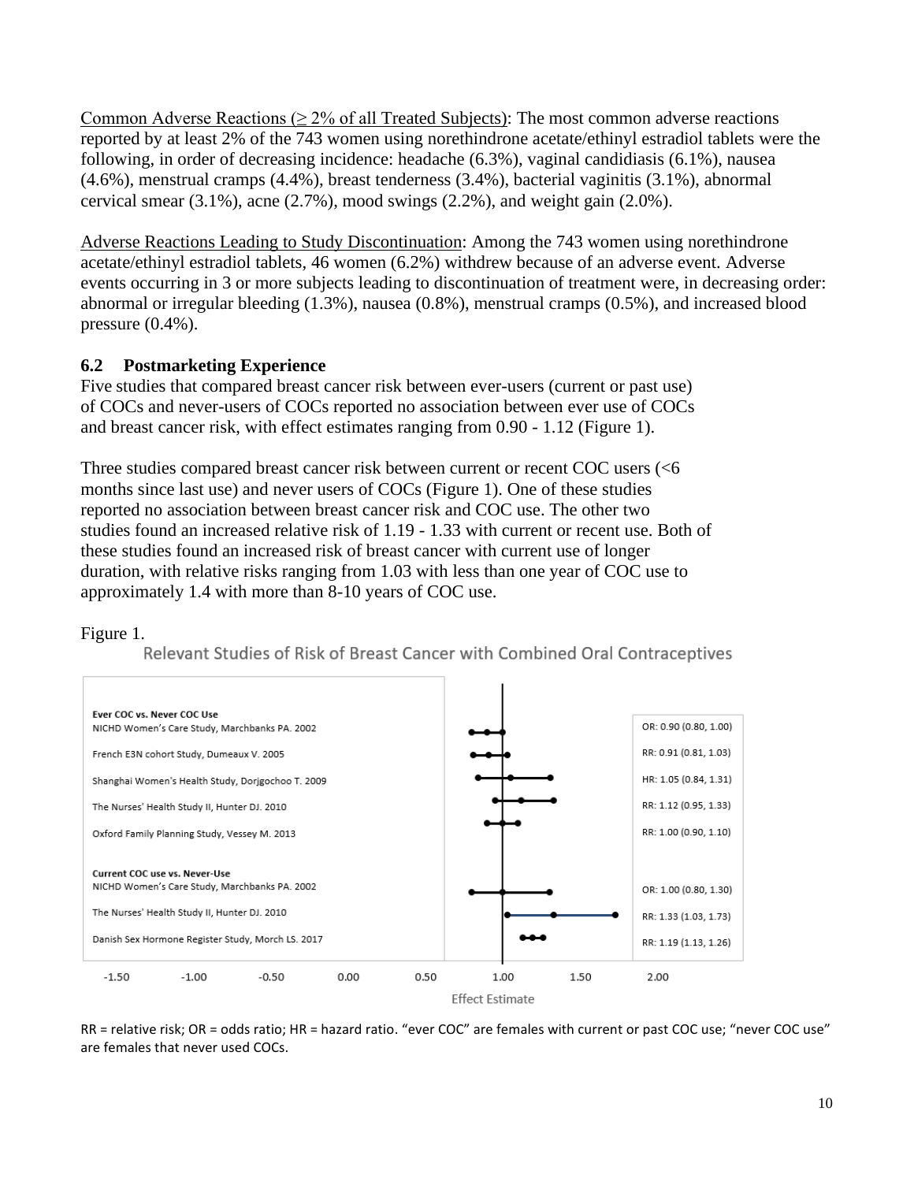Common Adverse Reactions ( $\geq 2\%$  of all Treated Subjects): The most common adverse reactions reported by at least 2% of the 743 women using norethindrone acetate/ethinyl estradiol tablets were the following, in order of decreasing incidence: headache (6.3%), vaginal candidiasis (6.1%), nausea (4.6%), menstrual cramps (4.4%), breast tenderness (3.4%), bacterial vaginitis (3.1%), abnormal cervical smear  $(3.1\%)$ , acne  $(2.7\%)$ , mood swings  $(2.2\%)$ , and weight gain  $(2.0\%)$ .

Adverse Reactions Leading to Study Discontinuation: Among the 743 women using norethindrone acetate/ethinyl estradiol tablets, 46 women (6.2%) withdrew because of an adverse event. Adverse events occurring in 3 or more subjects leading to discontinuation of treatment were, in decreasing order: abnormal or irregular bleeding (1.3%), nausea (0.8%), menstrual cramps (0.5%), and increased blood pressure (0.4%).

### <span id="page-9-0"></span>**6.2 Postmarketing Experience**

Five studies that compared breast cancer risk between ever-users (current or past use) of COCs and never-users of COCs reported no association between ever use of COCs and breast cancer risk, with effect estimates ranging from 0.90 - 1.12 (Figure 1).

Three studies compared breast cancer risk between current or recent COC users (<6 months since last use) and never users of COCs (Figure 1). One of these studies reported no association between breast cancer risk and COC use. The other two studies found an increased relative risk of 1.19 - 1.33 with current or recent use. Both of these studies found an increased risk of breast cancer with current use of longer duration, with relative risks ranging from 1.03 with less than one year of COC use to approximately 1.4 with more than 8-10 years of COC use.

### Figure 1.

Relevant Studies of Risk of Breast Cancer with Combined Oral Contraceptives



RR = relative risk; OR = odds ratio; HR = hazard ratio. "ever COC" are females with current or past COC use; "never COC use" are females that never used COCs.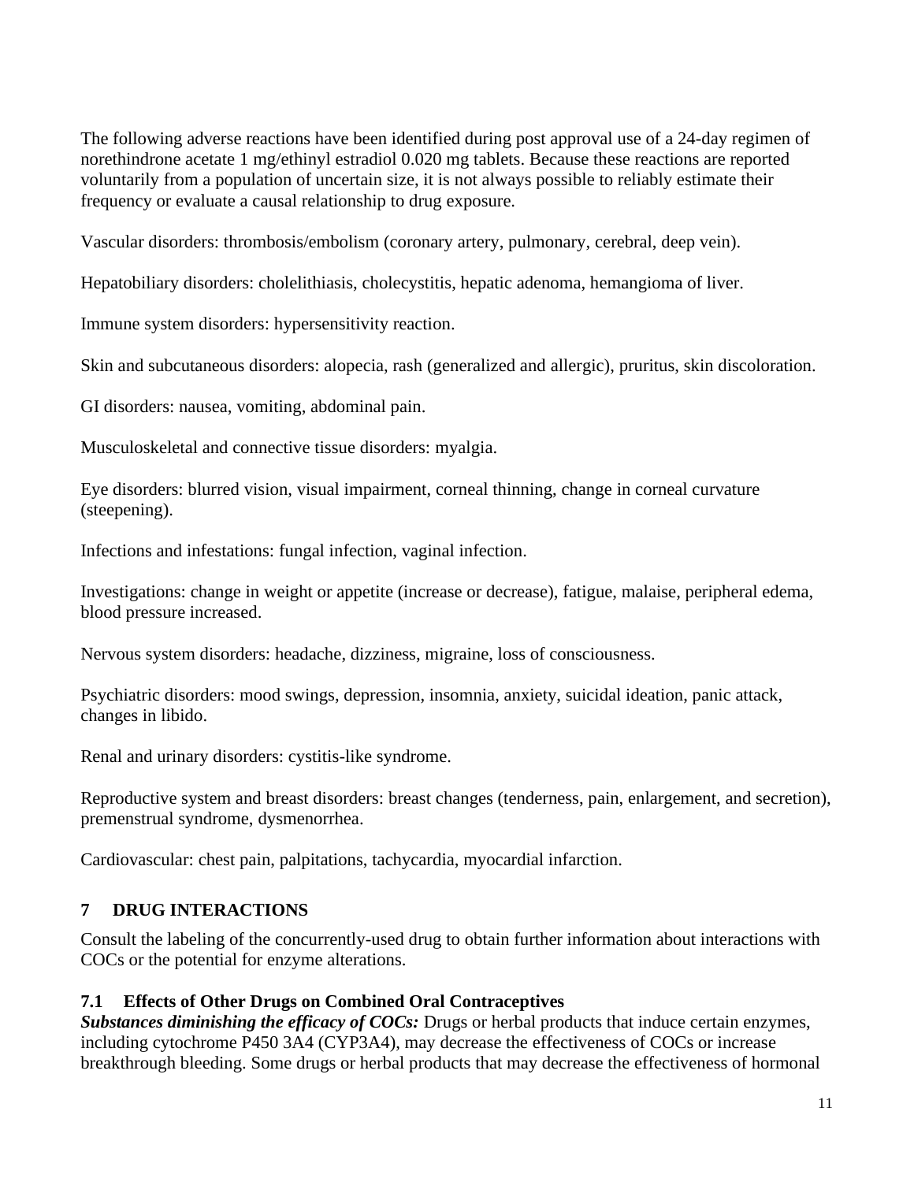The following adverse reactions have been identified during post approval use of a 24-day regimen of norethindrone acetate 1 mg/ethinyl estradiol 0.020 mg tablets. Because these reactions are reported voluntarily from a population of uncertain size, it is not always possible to reliably estimate their frequency or evaluate a causal relationship to drug exposure.

Vascular disorders: thrombosis/embolism (coronary artery, pulmonary, cerebral, deep vein).

Hepatobiliary disorders: cholelithiasis, cholecystitis, hepatic adenoma, hemangioma of liver.

Immune system disorders: hypersensitivity reaction.

Skin and subcutaneous disorders: alopecia, rash (generalized and allergic), pruritus, skin discoloration.

GI disorders: nausea, vomiting, abdominal pain.

Musculoskeletal and connective tissue disorders: myalgia.

Eye disorders: blurred vision, visual impairment, corneal thinning, change in corneal curvature (steepening).

Infections and infestations: fungal infection, vaginal infection.

Investigations: change in weight or appetite (increase or decrease), fatigue, malaise, peripheral edema, blood pressure increased.

Nervous system disorders: headache, dizziness, migraine, loss of consciousness.

Psychiatric disorders: mood swings, depression, insomnia, anxiety, suicidal ideation, panic attack, changes in libido.

Renal and urinary disorders: cystitis-like syndrome.

Reproductive system and breast disorders: breast changes (tenderness, pain, enlargement, and secretion), premenstrual syndrome, dysmenorrhea.

Cardiovascular: chest pain, palpitations, tachycardia, myocardial infarction.

## <span id="page-10-0"></span>**7 DRUG INTERACTIONS**

Consult the labeling of the concurrently-used drug to obtain further information about interactions with COCs or the potential for enzyme alterations.

## <span id="page-10-1"></span>**7.1 Effects of Other Drugs on Combined Oral Contraceptives**

*Substances diminishing the efficacy of COCs:* Drugs or herbal products that induce certain enzymes, including cytochrome P450 3A4 (CYP3A4), may decrease the effectiveness of COCs or increase breakthrough bleeding. Some drugs or herbal products that may decrease the effectiveness of hormonal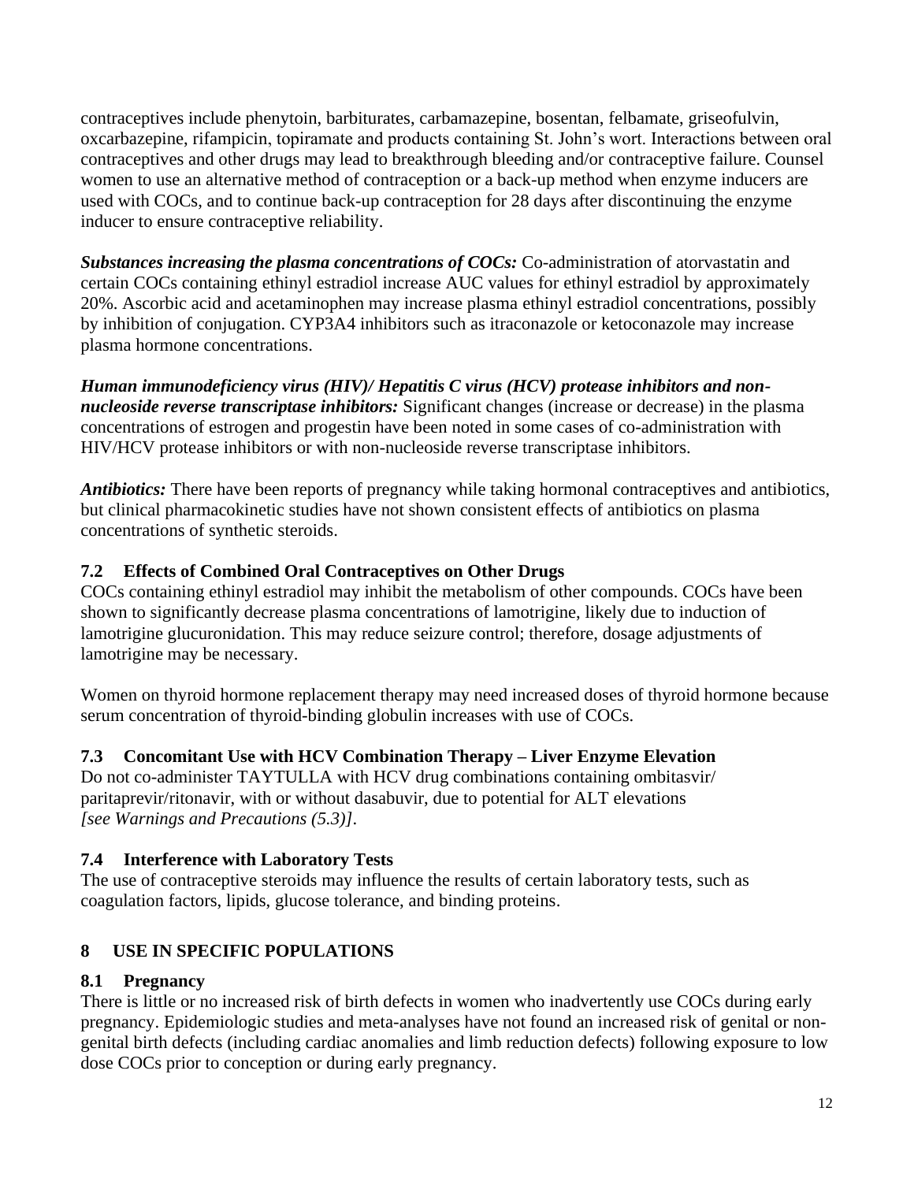contraceptives include phenytoin, barbiturates, carbamazepine, bosentan, felbamate, griseofulvin, oxcarbazepine, rifampicin, topiramate and products containing St. John's wort. Interactions between oral contraceptives and other drugs may lead to breakthrough bleeding and/or contraceptive failure. Counsel women to use an alternative method of contraception or a back-up method when enzyme inducers are used with COCs, and to continue back-up contraception for 28 days after discontinuing the enzyme inducer to ensure contraceptive reliability.

*Substances increasing the plasma concentrations of COCs:* Co-administration of atorvastatin and certain COCs containing ethinyl estradiol increase AUC values for ethinyl estradiol by approximately 20%. Ascorbic acid and acetaminophen may increase plasma ethinyl estradiol concentrations, possibly by inhibition of conjugation. CYP3A4 inhibitors such as itraconazole or ketoconazole may increase plasma hormone concentrations.

*Human immunodeficiency virus (HIV)/ Hepatitis C virus (HCV) protease inhibitors and nonnucleoside reverse transcriptase inhibitors:* Significant changes (increase or decrease) in the plasma concentrations of estrogen and progestin have been noted in some cases of co-administration with HIV/HCV protease inhibitors or with non-nucleoside reverse transcriptase inhibitors.

*Antibiotics:* There have been reports of pregnancy while taking hormonal contraceptives and antibiotics, but clinical pharmacokinetic studies have not shown consistent effects of antibiotics on plasma concentrations of synthetic steroids.

# <span id="page-11-0"></span>**7.2 Effects of Combined Oral Contraceptives on Other Drugs**

COCs containing ethinyl estradiol may inhibit the metabolism of other compounds. COCs have been shown to significantly decrease plasma concentrations of lamotrigine, likely due to induction of lamotrigine glucuronidation. This may reduce seizure control; therefore, dosage adjustments of lamotrigine may be necessary.

Women on thyroid hormone replacement therapy may need increased doses of thyroid hormone because serum concentration of thyroid-binding globulin increases with use of COCs.

# <span id="page-11-1"></span>**7.3 Concomitant Use with HCV Combination Therapy – Liver Enzyme Elevation**

Do not co-administer TAYTULLA with HCV drug combinations containing ombitasvir/ paritaprevir/ritonavir, with or without dasabuvir, due to potential for ALT elevations *[see Warnings and Precautions (5.3)]*.

## <span id="page-11-2"></span>**7.4 Interference with Laboratory Tests**

The use of contraceptive steroids may influence the results of certain laboratory tests, such as coagulation factors, lipids, glucose tolerance, and binding proteins.

# <span id="page-11-3"></span>**8 USE IN SPECIFIC POPULATIONS**

## <span id="page-11-4"></span>**8.1 Pregnancy**

There is little or no increased risk of birth defects in women who inadvertently use COCs during early pregnancy. Epidemiologic studies and meta-analyses have not found an increased risk of genital or nongenital birth defects (including cardiac anomalies and limb reduction defects) following exposure to low dose COCs prior to conception or during early pregnancy.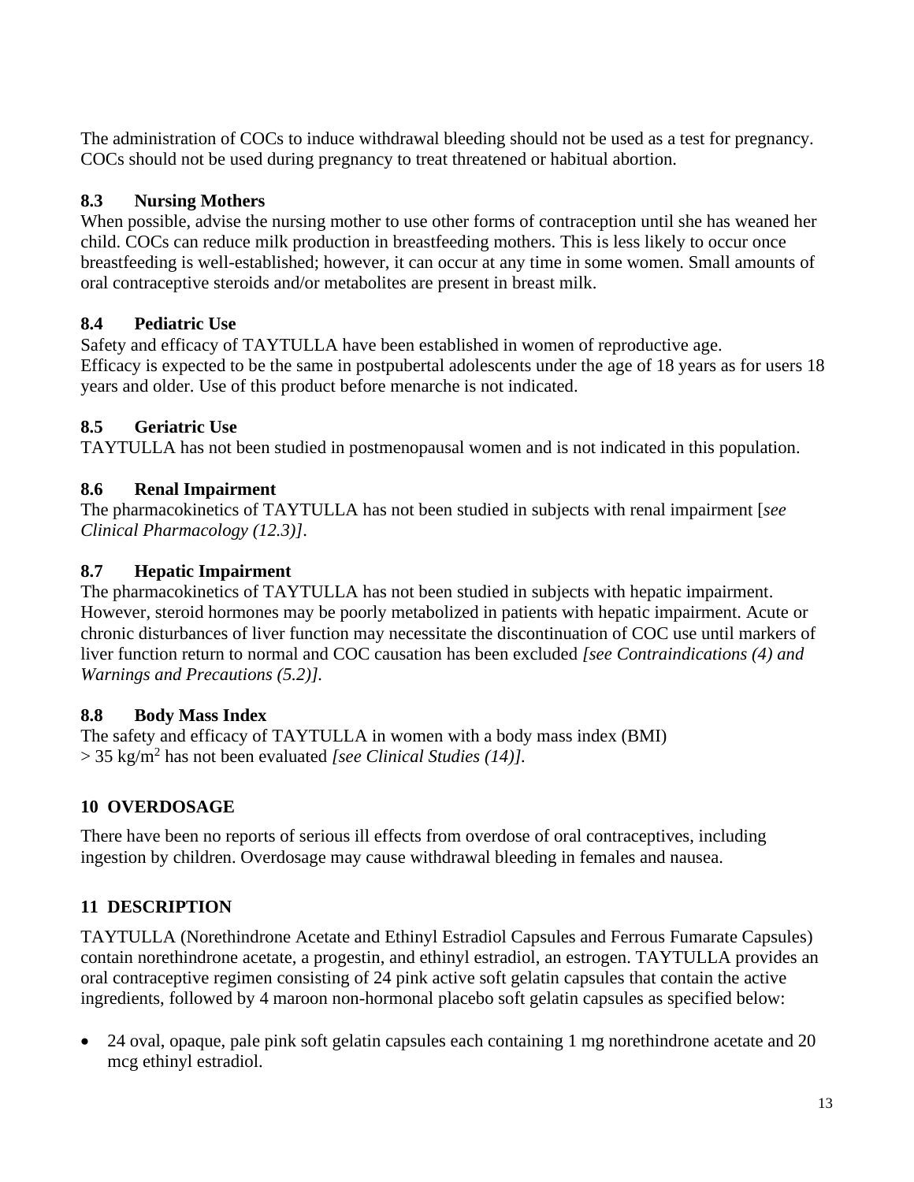The administration of COCs to induce withdrawal bleeding should not be used as a test for pregnancy. COCs should not be used during pregnancy to treat threatened or habitual abortion.

## <span id="page-12-1"></span>**8.3 Nursing Mothers**

When possible, advise the nursing mother to use other forms of contraception until she has weaned her child. COCs can reduce milk production in breastfeeding mothers. This is less likely to occur once breastfeeding is well-established; however, it can occur at any time in some women. Small amounts of oral contraceptive steroids and/or metabolites are present in breast milk.

# <span id="page-12-2"></span>**8.4 Pediatric Use**

Safety and efficacy of TAYTULLA have been established in women of reproductive age. Efficacy is expected to be the same in postpubertal adolescents under the age of 18 years as for users 18 years and older. Use of this product before menarche is not indicated.

# <span id="page-12-3"></span>**8.5 Geriatric Use**

TAYTULLA has not been studied in postmenopausal women and is not indicated in this population.

## <span id="page-12-4"></span>**8.6 Renal Impairment**

The pharmacokinetics of TAYTULLA has not been studied in subjects with renal impairment [*see [Clinical Pharmacology \(12.3\)\]](#page-13-3)*.

## <span id="page-12-5"></span>**8.7 Hepatic Impairment**

The pharmacokinetics of TAYTULLA has not been studied in subjects with hepatic impairment. However, steroid hormones may be poorly metabolized in patients with hepatic impairment. Acute or chronic disturbances of liver function may necessitate the discontinuation of COC use until markers of liver function return to normal and COC causation has been excluded *[see [Contraindications \(4\)](#page-4-0) and Warnings [and Precautions \(5.2\)\]](#page-5-1).*

## <span id="page-12-0"></span>**8.8 Body Mass Index**

The safety and efficacy of TAYTULLA in women with a body mass index (BMI) > 35 kg/m<sup>2</sup> has not been evaluated *[see [Clinical Studies \(14\)\]](#page-18-2).*

# <span id="page-12-6"></span>**10 OVERDOSAGE**

There have been no reports of serious ill effects from overdose of oral contraceptives, including ingestion by children. Overdosage may cause withdrawal bleeding in females and nausea.

# <span id="page-12-7"></span>**11 DESCRIPTION**

TAYTULLA (Norethindrone Acetate and Ethinyl Estradiol Capsules and Ferrous Fumarate Capsules) contain norethindrone acetate, a progestin, and ethinyl estradiol, an estrogen. TAYTULLA provides an oral contraceptive regimen consisting of 24 pink active soft gelatin capsules that contain the active ingredients, followed by 4 maroon non-hormonal placebo soft gelatin capsules as specified below:

• 24 oval, opaque, pale pink soft gelatin capsules each containing 1 mg norethindrone acetate and 20 mcg ethinyl estradiol.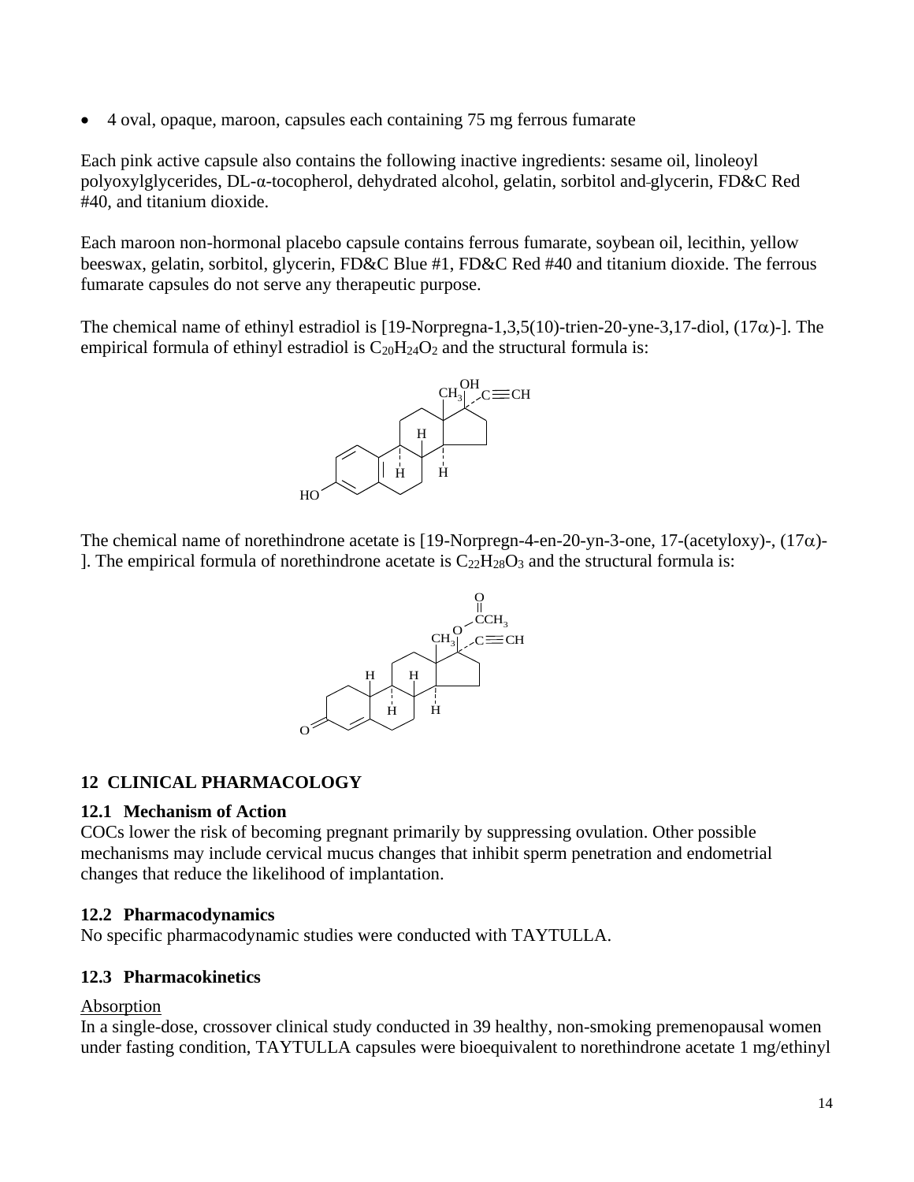• 4 oval, opaque, maroon, capsules each containing 75 mg ferrous fumarate

Each pink active capsule also contains the following inactive ingredients: sesame oil, linoleoyl polyoxylglycerides, DL-α-tocopherol, dehydrated alcohol, gelatin, sorbitol and glycerin, FD&C Red #40, and titanium dioxide.

Each maroon non-hormonal placebo capsule contains ferrous fumarate, soybean oil, lecithin, yellow beeswax, gelatin, sorbitol, glycerin, FD&C Blue #1, FD&C Red #40 and titanium dioxide. The ferrous fumarate capsules do not serve any therapeutic purpose.

The chemical name of ethinyl estradiol is  $[19\text{-Norpregna-1},3,5(10)\text{-}$ trien-20-yne-3,17-diol,  $(17\alpha)$ -]. The empirical formula of ethinyl estradiol is  $C_{20}H_{24}O_2$  and the structural formula is:



The chemical name of norethindrone acetate is [19-Norpregn-4-en-20-yn-3-one, 17-(acetyloxy)-,  $(17\alpha)$ -]. The empirical formula of norethindrone acetate is  $C_{22}H_{28}O_3$  and the structural formula is:



### <span id="page-13-0"></span>**12 CLINICAL PHARMACOLOGY**

### <span id="page-13-1"></span>**12.1 Mechanism of Action**

COCs lower the risk of becoming pregnant primarily by suppressing ovulation. Other possible mechanisms may include cervical mucus changes that inhibit sperm penetration and endometrial changes that reduce the likelihood of implantation.

### <span id="page-13-2"></span>**12.2 Pharmacodynamics**

No specific pharmacodynamic studies were conducted with TAYTULLA.

### <span id="page-13-3"></span>**12.3 Pharmacokinetics**

### Absorption

In a single-dose, crossover clinical study conducted in 39 healthy, non-smoking premenopausal women under fasting condition, TAYTULLA capsules were bioequivalent to norethindrone acetate 1 mg/ethinyl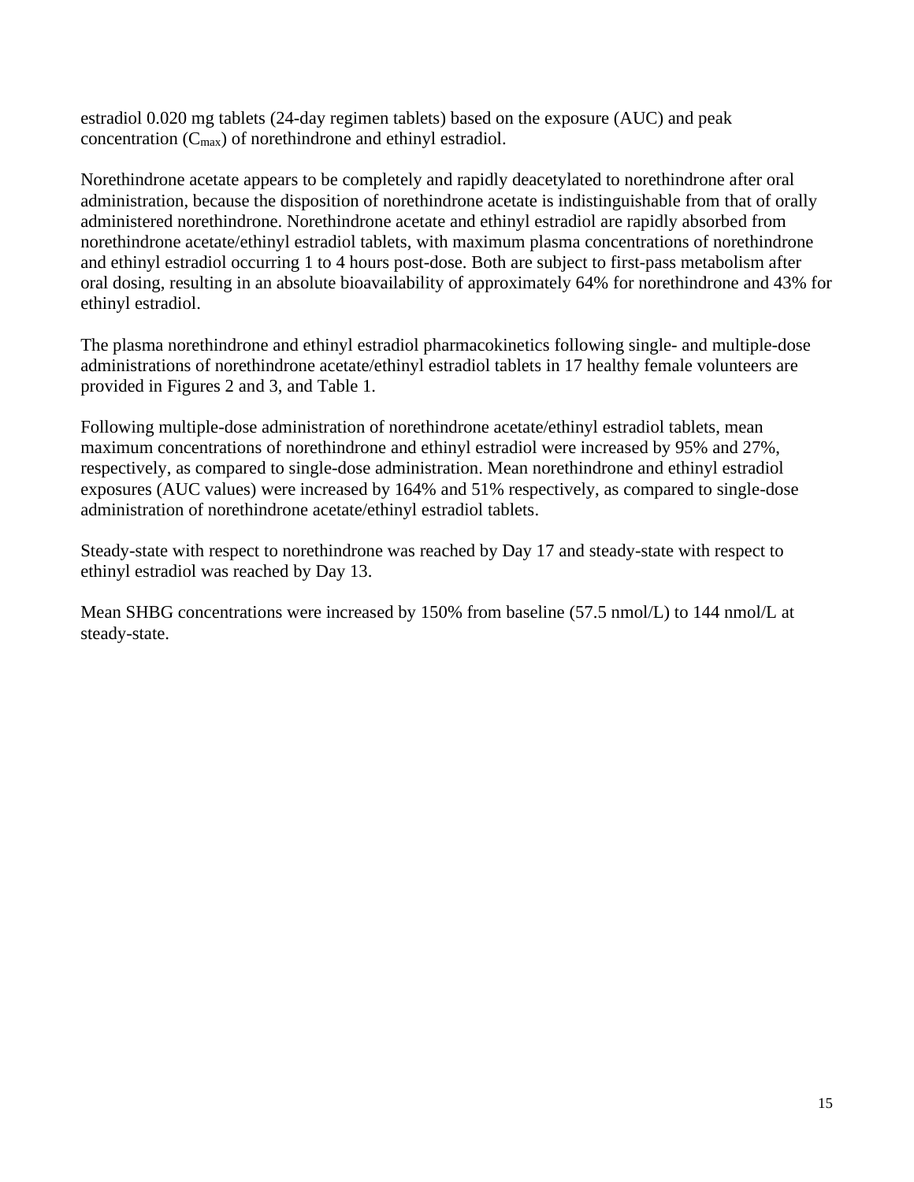estradiol 0.020 mg tablets (24-day regimen tablets) based on the exposure (AUC) and peak concentration (Cmax) of norethindrone and ethinyl estradiol.

Norethindrone acetate appears to be completely and rapidly deacetylated to norethindrone after oral administration, because the disposition of norethindrone acetate is indistinguishable from that of orally administered norethindrone. Norethindrone acetate and ethinyl estradiol are rapidly absorbed from norethindrone acetate/ethinyl estradiol tablets, with maximum plasma concentrations of norethindrone and ethinyl estradiol occurring 1 to 4 hours post-dose. Both are subject to first-pass metabolism after oral dosing, resulting in an absolute bioavailability of approximately 64% for norethindrone and 43% for ethinyl estradiol.

The plasma norethindrone and ethinyl estradiol pharmacokinetics following single- and multiple-dose administrations of norethindrone acetate/ethinyl estradiol tablets in 17 healthy female volunteers are provided in [Figures 2](#page-15-0) and [3,](#page-16-0) and [Table 1.](#page-17-0)

Following multiple-dose administration of norethindrone acetate/ethinyl estradiol tablets, mean maximum concentrations of norethindrone and ethinyl estradiol were increased by 95% and 27%, respectively, as compared to single-dose administration. Mean norethindrone and ethinyl estradiol exposures (AUC values) were increased by 164% and 51% respectively, as compared to single-dose administration of norethindrone acetate/ethinyl estradiol tablets.

Steady-state with respect to norethindrone was reached by Day 17 and steady-state with respect to ethinyl estradiol was reached by Day 13.

Mean SHBG concentrations were increased by 150% from baseline (57.5 nmol/L) to 144 nmol/L at steady-state.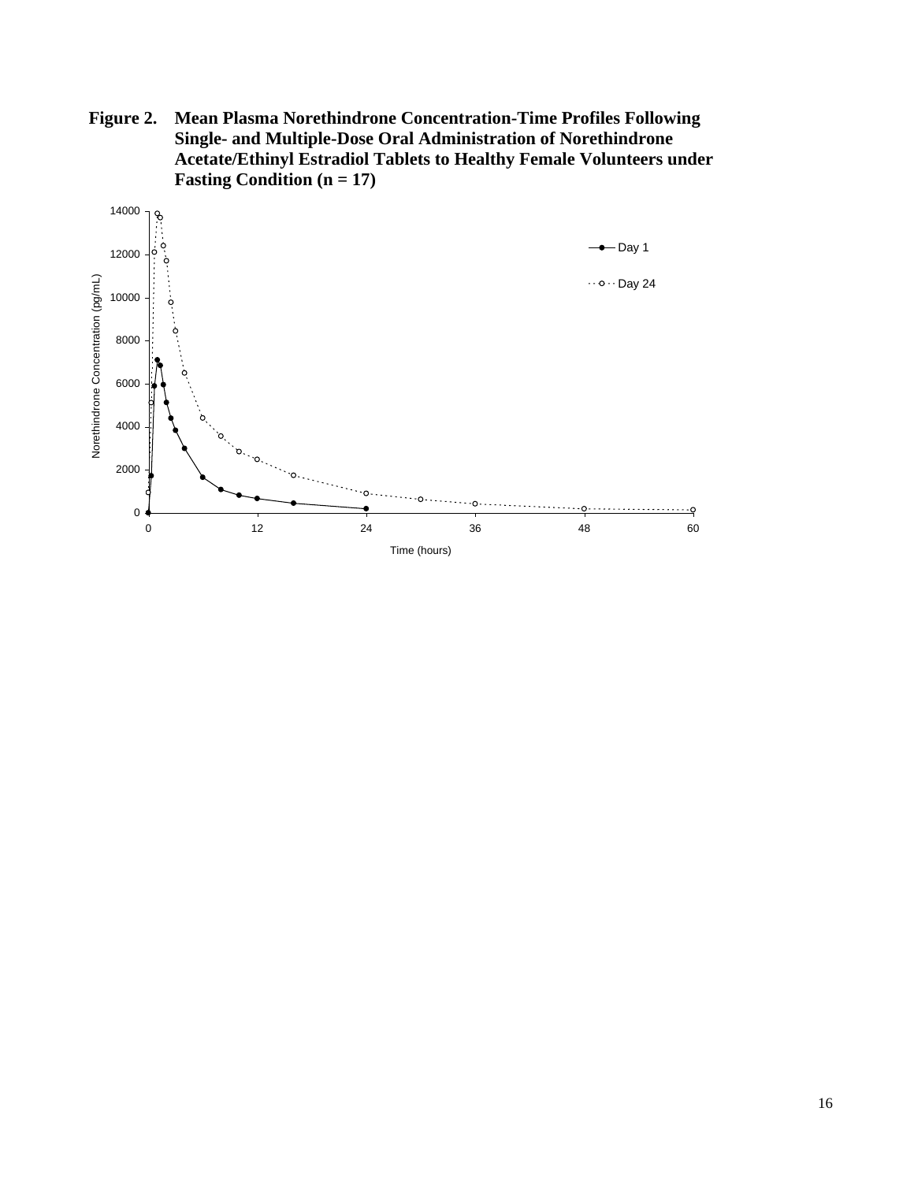<span id="page-15-0"></span>**Figure 2. Mean Plasma Norethindrone Concentration-Time Profiles Following Single- and Multiple-Dose Oral Administration of Norethindrone Acetate/Ethinyl Estradiol Tablets to Healthy Female Volunteers under Fasting Condition (n = 17)**

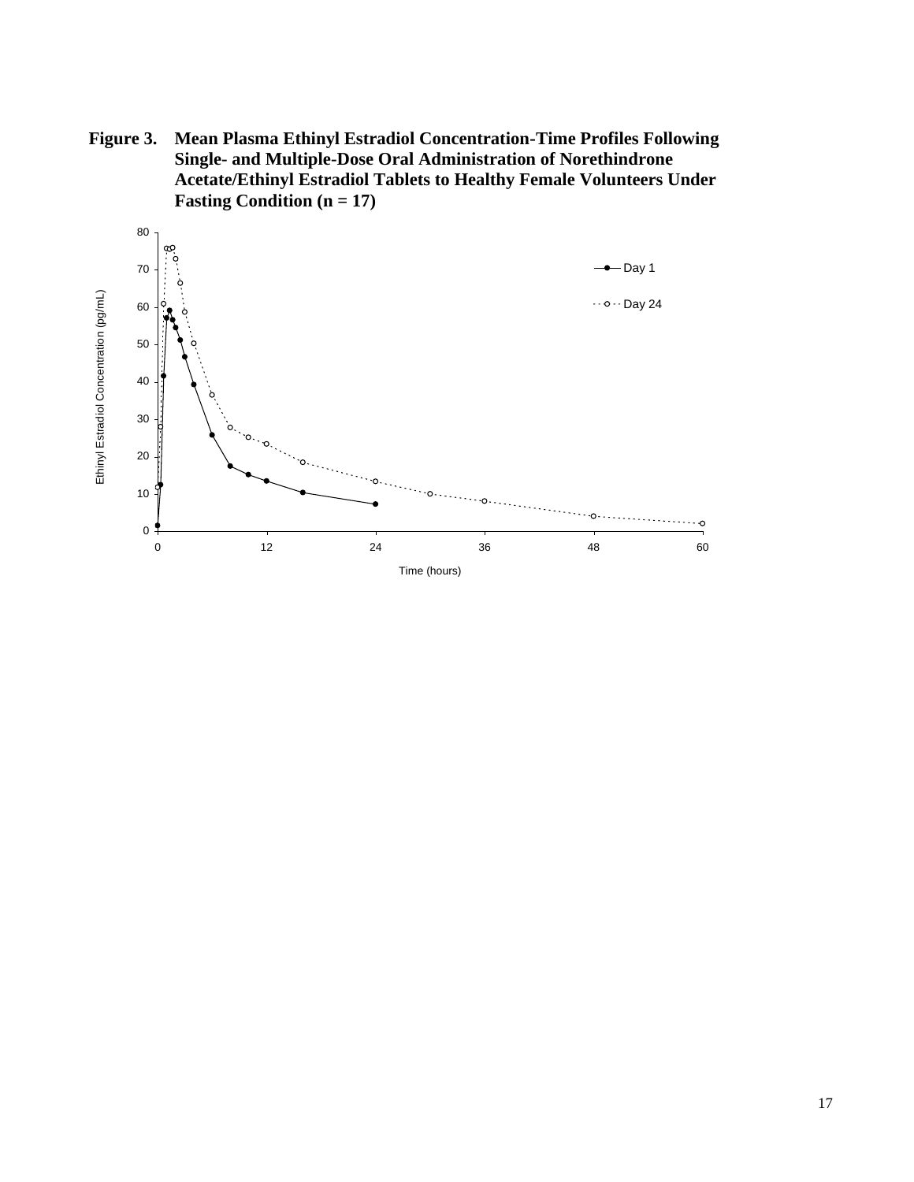<span id="page-16-0"></span>**Figure 3. Mean Plasma Ethinyl Estradiol Concentration-Time Profiles Following Single- and Multiple-Dose Oral Administration of Norethindrone Acetate/Ethinyl Estradiol Tablets to Healthy Female Volunteers Under Fasting Condition (n = 17)**

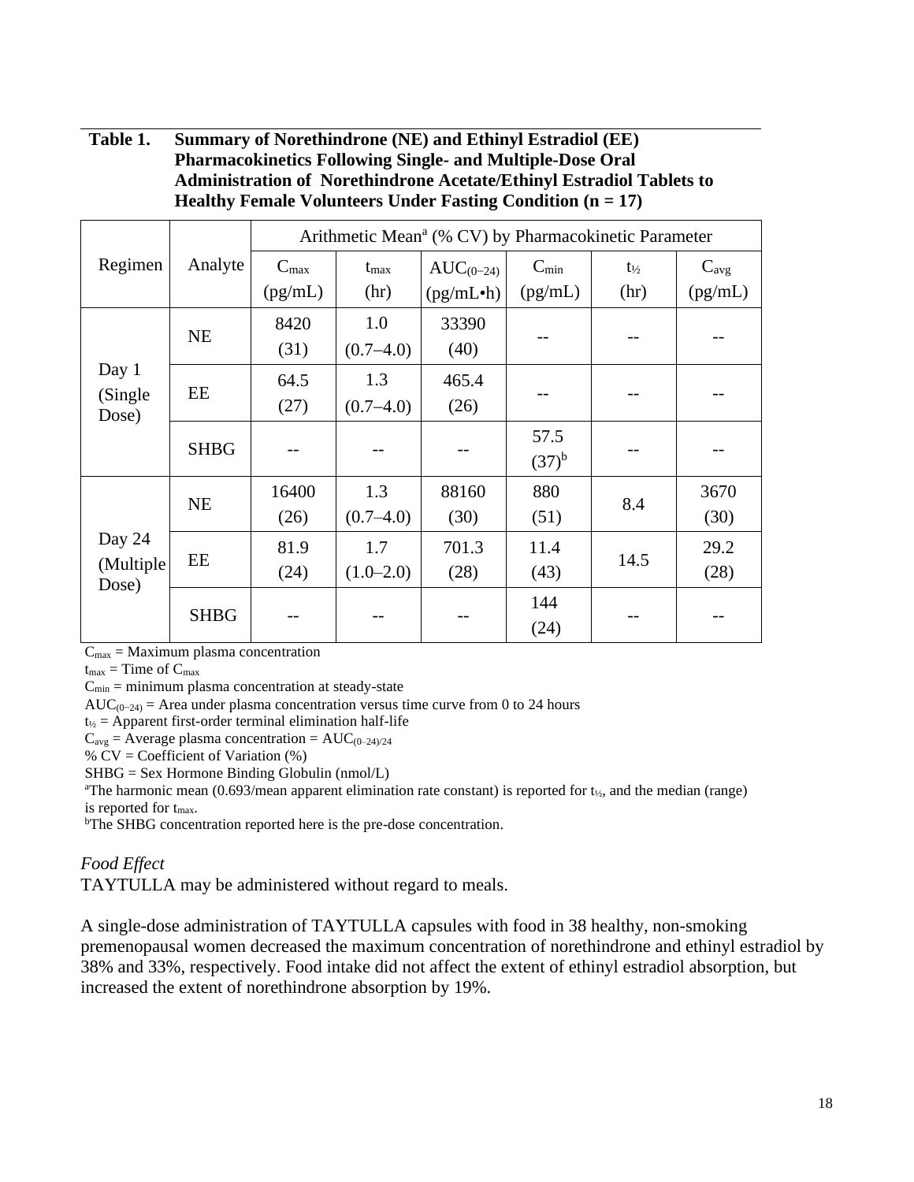### <span id="page-17-0"></span>**Table 1. Summary of Norethindrone (NE) and Ethinyl Estradiol (EE) Pharmacokinetics Following Single- and Multiple-Dose Oral Administration of Norethindrone Acetate/Ethinyl Estradiol Tablets to Healthy Female Volunteers Under Fasting Condition (n = 17)**

|                     | Analyte     | Arithmetic Mean <sup>a</sup> (% CV) by Pharmacokinetic Parameter |               |                        |            |                   |           |
|---------------------|-------------|------------------------------------------------------------------|---------------|------------------------|------------|-------------------|-----------|
| Regimen             |             | $C_{max}$                                                        | $t_{\rm max}$ | $AUC_{(0-24)}$         | $C_{\min}$ | $t_{\frac{1}{2}}$ | $C_{avg}$ |
|                     |             | (pg/mL)                                                          | (hr)          | (pg/mL <sup>•</sup> h) | (pg/mL)    | (hr)              | (pg/mL)   |
|                     | <b>NE</b>   | 8420                                                             | 1.0           | 33390                  |            |                   |           |
|                     |             | (31)                                                             | $(0.7 - 4.0)$ | (40)                   |            |                   |           |
| Day 1               | EE          | 64.5                                                             | 1.3           | 465.4                  |            |                   |           |
| (Single)<br>Dose)   |             | (27)                                                             | $(0.7 - 4.0)$ | (26)                   |            |                   |           |
|                     | <b>SHBG</b> |                                                                  |               |                        | 57.5       |                   |           |
|                     |             |                                                                  |               |                        | $(37)^{b}$ |                   |           |
|                     | <b>NE</b>   | 16400                                                            | 1.3           | 88160                  | 880        | 8.4               | 3670      |
|                     |             | (26)                                                             | $(0.7 - 4.0)$ | (30)                   | (51)       |                   | (30)      |
| Day 24              | EE          | 81.9                                                             | 1.7           | 701.3                  | 11.4       | 14.5              | 29.2      |
| (Multiple)<br>Dose) |             | (24)                                                             | $(1.0-2.0)$   | (28)                   | (43)       |                   | (28)      |
|                     | <b>SHBG</b> |                                                                  |               |                        | 144        |                   |           |
|                     |             |                                                                  |               |                        | (24)       |                   |           |

 $C_{\text{max}}$  = Maximum plasma concentration

 $t_{\text{max}}$  = Time of  $C_{\text{max}}$ 

 $C_{\text{min}}$  = minimum plasma concentration at steady-state

AUC( $_{0-24}$ ) = Area under plasma concentration versus time curve from 0 to 24 hours

 $t_{1/2}$  = Apparent first-order terminal elimination half-life

 $C_{avg}$  = Average plasma concentration = AUC $_{(0-24)/24}$ 

 $%$  CV = Coefficient of Variation  $%$ 

SHBG = Sex Hormone Binding Globulin (nmol/L)

<sup>a</sup>The harmonic mean (0.693/mean apparent elimination rate constant) is reported for  $t_{2i}$ , and the median (range) is reported for tmax.

<sup>b</sup>The SHBG concentration reported here is the pre-dose concentration.

### *Food Effect*

TAYTULLA may be administered without regard to meals.

A single-dose administration of TAYTULLA capsules with food in 38 healthy, non-smoking premenopausal women decreased the maximum concentration of norethindrone and ethinyl estradiol by 38% and 33%, respectively. Food intake did not affect the extent of ethinyl estradiol absorption, but increased the extent of norethindrone absorption by 19%.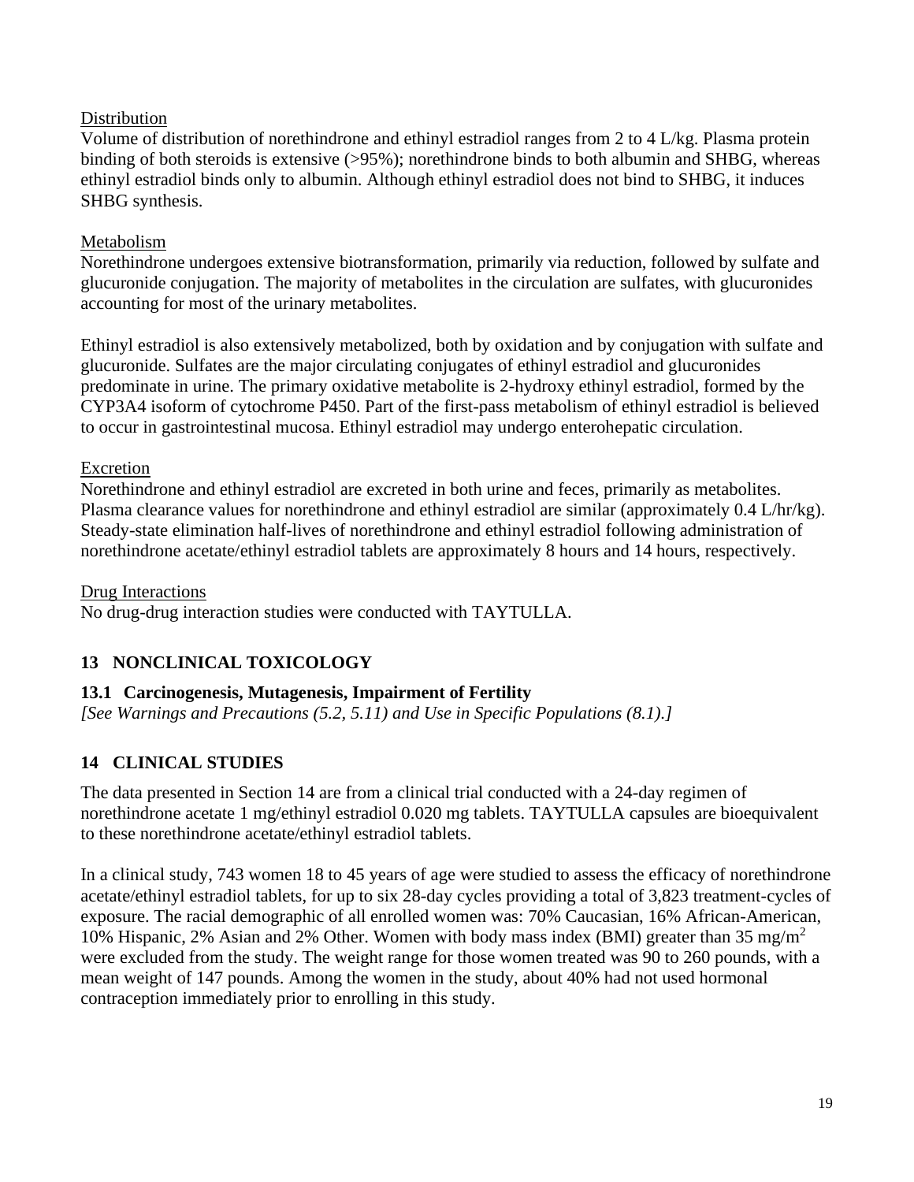### Distribution

Volume of distribution of norethindrone and ethinyl estradiol ranges from 2 to 4 L/kg. Plasma protein binding of both steroids is extensive (>95%); norethindrone binds to both albumin and SHBG, whereas ethinyl estradiol binds only to albumin. Although ethinyl estradiol does not bind to SHBG, it induces SHBG synthesis.

### Metabolism

Norethindrone undergoes extensive biotransformation, primarily via reduction, followed by sulfate and glucuronide conjugation. The majority of metabolites in the circulation are sulfates, with glucuronides accounting for most of the urinary metabolites.

Ethinyl estradiol is also extensively metabolized, both by oxidation and by conjugation with sulfate and glucuronide. Sulfates are the major circulating conjugates of ethinyl estradiol and glucuronides predominate in urine. The primary oxidative metabolite is 2-hydroxy ethinyl estradiol, formed by the CYP3A4 isoform of cytochrome P450. Part of the first-pass metabolism of ethinyl estradiol is believed to occur in gastrointestinal mucosa. Ethinyl estradiol may undergo enterohepatic circulation.

### Excretion

Norethindrone and ethinyl estradiol are excreted in both urine and feces, primarily as metabolites. Plasma clearance values for norethindrone and ethinyl estradiol are similar (approximately 0.4 L/hr/kg). Steady-state elimination half-lives of norethindrone and ethinyl estradiol following administration of norethindrone acetate/ethinyl estradiol tablets are approximately 8 hours and 14 hours, respectively.

### Drug Interactions

No drug-drug interaction studies were conducted with TAYTULLA.

## <span id="page-18-0"></span>**13 NONCLINICAL TOXICOLOGY**

### <span id="page-18-1"></span>**13.1 Carcinogenesis, Mutagenesis, Impairment of Fertility**

*[See [Warnings and Precautions \(5.2,](#page-5-1) [5.11\)](#page-7-2) and [Use in Specific Populations \(8.1\).](#page-11-4)]*

## <span id="page-18-2"></span>**14 CLINICAL STUDIES**

The data presented in Section 14 are from a clinical trial conducted with a 24-day regimen of norethindrone acetate 1 mg/ethinyl estradiol 0.020 mg tablets. TAYTULLA capsules are bioequivalent to these norethindrone acetate/ethinyl estradiol tablets.

In a clinical study, 743 women 18 to 45 years of age were studied to assess the efficacy of norethindrone acetate/ethinyl estradiol tablets, for up to six 28-day cycles providing a total of 3,823 treatment-cycles of exposure. The racial demographic of all enrolled women was: 70% Caucasian, 16% African-American, 10% Hispanic, 2% Asian and 2% Other. Women with body mass index (BMI) greater than 35 mg/m<sup>2</sup> were excluded from the study. The weight range for those women treated was 90 to 260 pounds, with a mean weight of 147 pounds. Among the women in the study, about 40% had not used hormonal contraception immediately prior to enrolling in this study.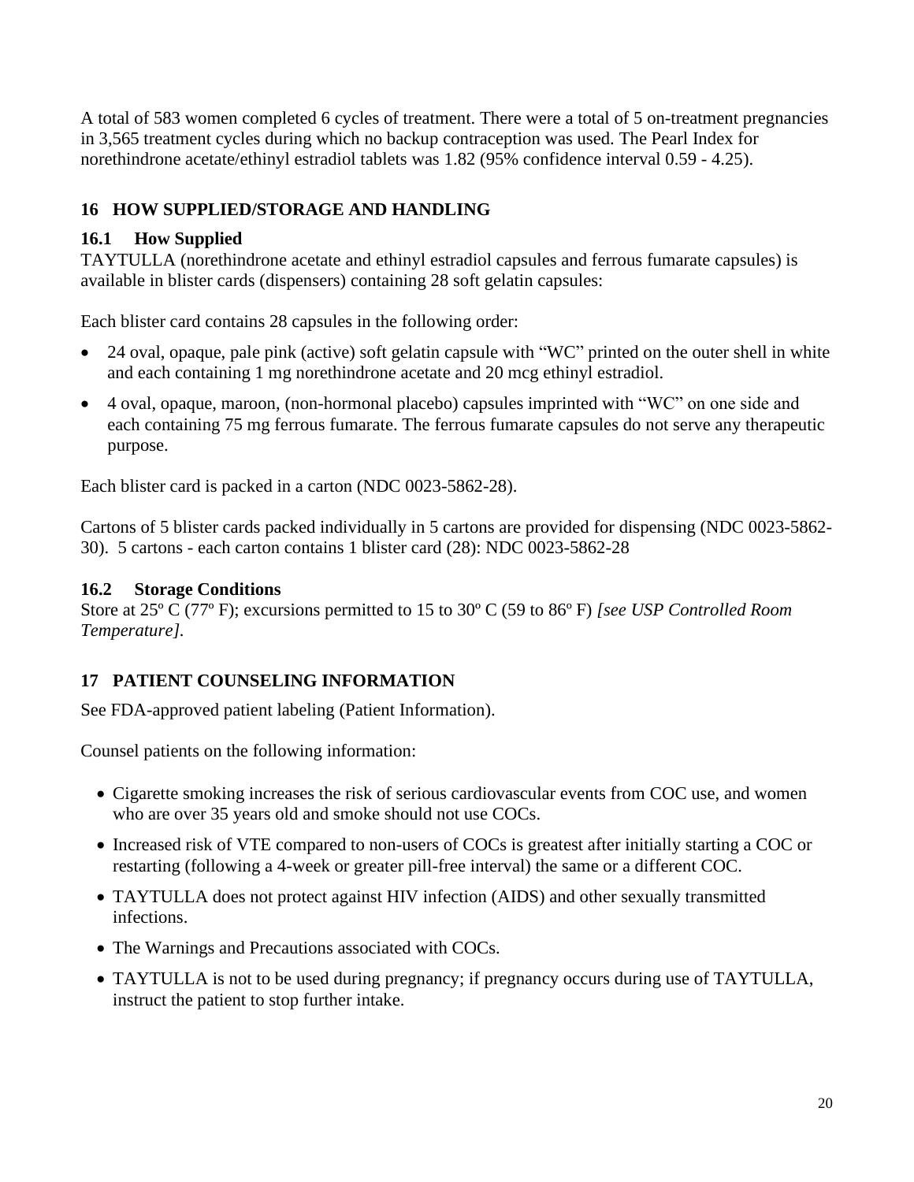A total of 583 women completed 6 cycles of treatment. There were a total of 5 on-treatment pregnancies in 3,565 treatment cycles during which no backup contraception was used. The Pearl Index for norethindrone acetate/ethinyl estradiol tablets was 1.82 (95% confidence interval 0.59 - 4.25).

## <span id="page-19-1"></span>**16 HOW SUPPLIED/STORAGE AND HANDLING**

### <span id="page-19-2"></span>**16.1 How Supplied**

TAYTULLA (norethindrone acetate and ethinyl estradiol capsules and ferrous fumarate capsules) is available in blister cards (dispensers) containing 28 soft gelatin capsules:

Each blister card contains 28 capsules in the following order:

- 24 oval, opaque, pale pink (active) soft gelatin capsule with "WC" printed on the outer shell in white and each containing 1 mg norethindrone acetate and 20 mcg ethinyl estradiol.
- 4 oval, opaque, maroon, (non-hormonal placebo) capsules imprinted with "WC" on one side and each containing 75 mg ferrous fumarate. The ferrous fumarate capsules do not serve any therapeutic purpose.

Each blister card is packed in a carton (NDC 0023-5862-28).

Cartons of 5 blister cards packed individually in 5 cartons are provided for dispensing (NDC 0023-5862- 30). 5 cartons - each carton contains 1 blister card (28): NDC 0023-5862-28

### <span id="page-19-3"></span>**16.2 Storage Conditions**

Store at 25º C (77º F); excursions permitted to 15 to 30º C (59 to 86º F) *[see USP Controlled Room Temperature].*

# <span id="page-19-0"></span>**17 PATIENT COUNSELING INFORMATION**

See [FDA-approved patient](#page-21-0) labeling [\(Patient Information\).](#page-21-0)

Counsel patients on the following information:

- Cigarette smoking increases the risk of serious cardiovascular events from COC use, and women who are over 35 years old and smoke should not use COCs.
- Increased risk of VTE compared to non-users of COCs is greatest after initially starting a COC or restarting (following a 4-week or greater pill-free interval) the same or a different COC.
- TAYTULLA does not protect against HIV infection (AIDS) and other sexually transmitted infections.
- The Warnings and Precautions associated with COCs.
- TAYTULLA is not to be used during pregnancy; if pregnancy occurs during use of TAYTULLA, instruct the patient to stop further intake.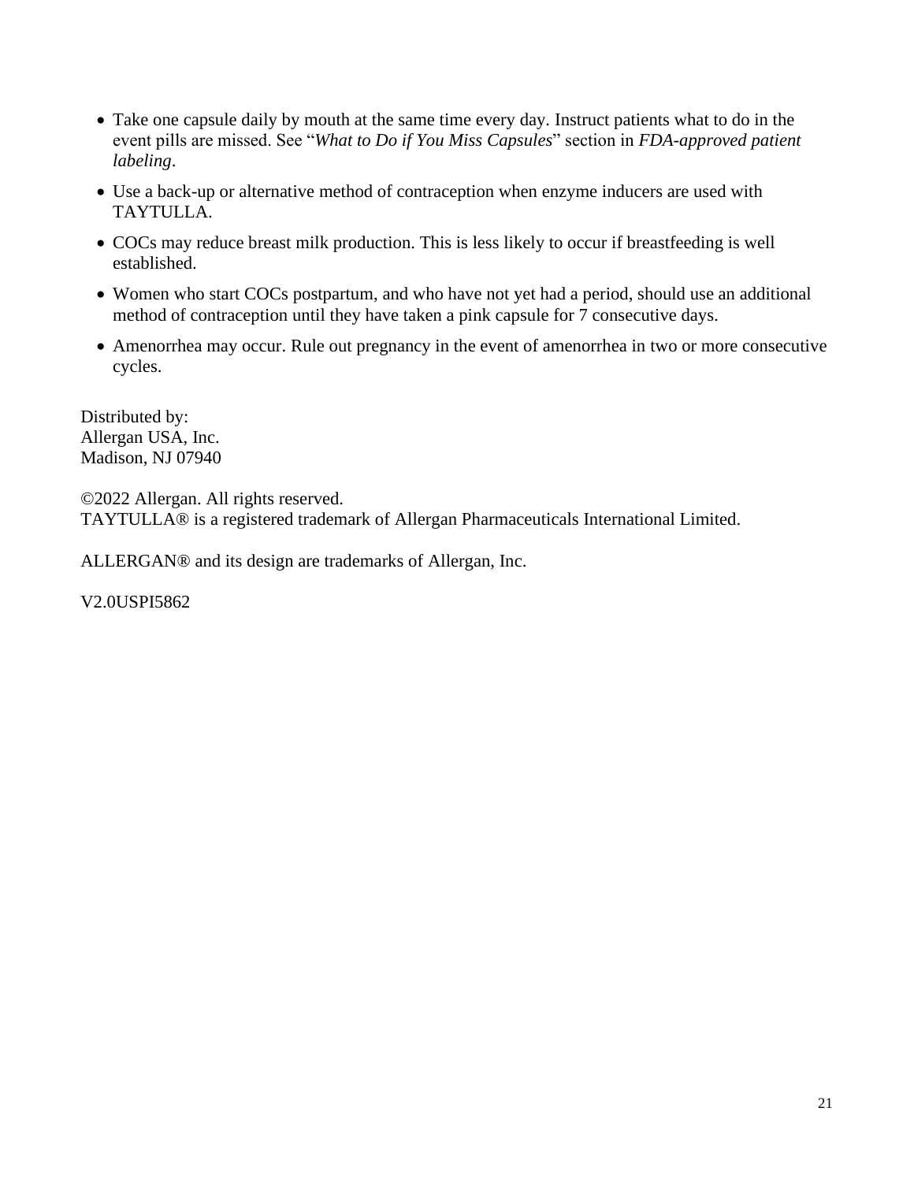- Take one capsule daily by mouth at the same time every day. Instruct patients what to do in the event pills are missed. See "*What [to Do if You Miss Capsules](#page-25-0)*" section in *[FDA-approved patient](#page-21-0)  [labeling](#page-21-0)*.
- Use a back-up or alternative method of contraception when enzyme inducers are used with TAYTULLA.
- COCs may reduce breast milk production. This is less likely to occur if breastfeeding is well established.
- Women who start COCs postpartum, and who have not yet had a period, should use an additional method of contraception until they have taken a pink capsule for 7 consecutive days.
- Amenorrhea may occur. Rule out pregnancy in the event of amenorrhea in two or more consecutive cycles.

Distributed by: Allergan USA, Inc. Madison, NJ 07940

©2022 Allergan. All rights reserved. TAYTULLA® is a registered trademark of Allergan Pharmaceuticals International Limited.

ALLERGAN® and its design are trademarks of Allergan, Inc.

V2.0USPI5862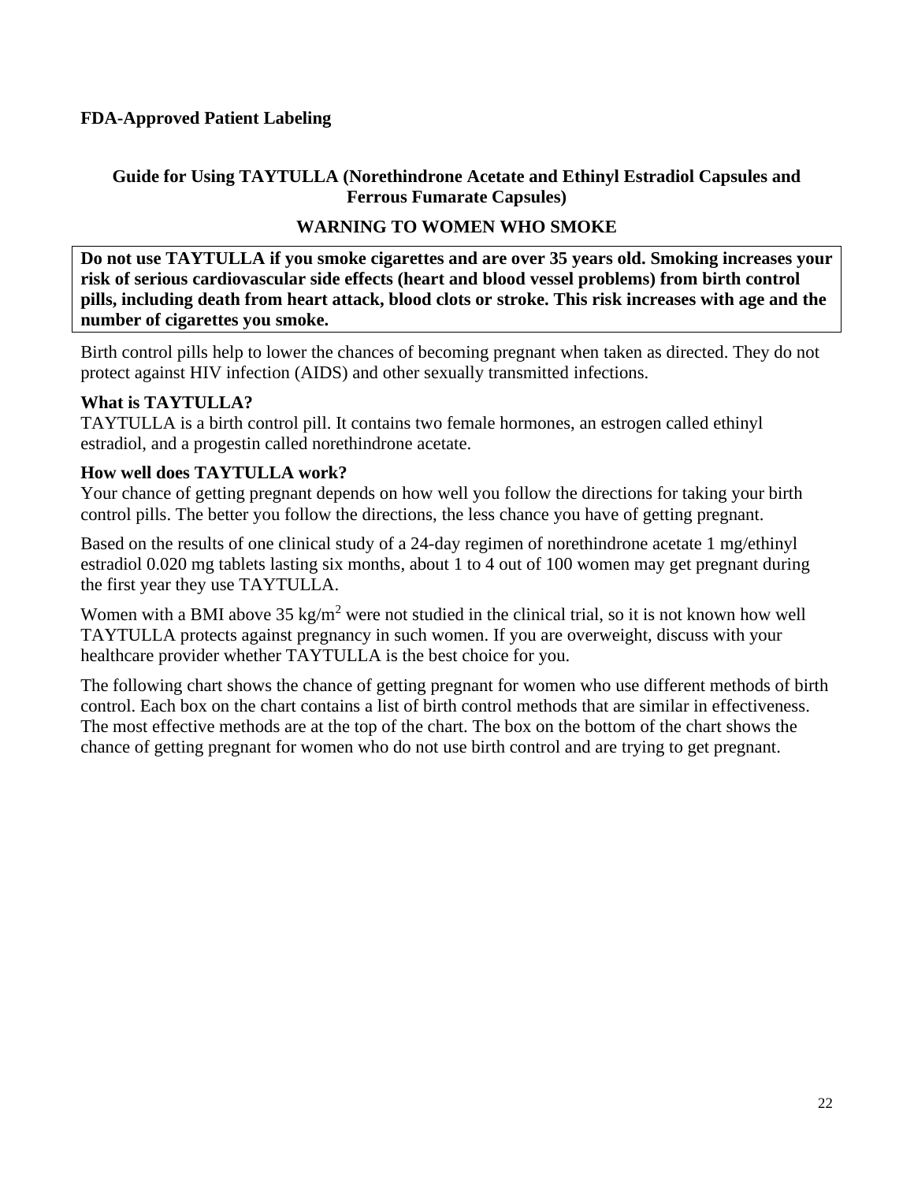### <span id="page-21-0"></span>**FDA-Approved Patient Labeling**

### **Guide for Using TAYTULLA (Norethindrone Acetate and Ethinyl Estradiol Capsules and Ferrous Fumarate Capsules)**

### **WARNING TO WOMEN WHO SMOKE**

**Do not use TAYTULLA if you smoke cigarettes and are over 35 years old. Smoking increases your risk of serious cardiovascular side effects (heart and blood vessel problems) from birth control pills, including death from heart attack, blood clots or stroke. This risk increases with age and the number of cigarettes you smoke.**

Birth control pills help to lower the chances of becoming pregnant when taken as directed. They do not protect against HIV infection (AIDS) and other sexually transmitted infections.

### **What is TAYTULLA?**

TAYTULLA is a birth control pill. It contains two female hormones, an estrogen called ethinyl estradiol, and a progestin called norethindrone acetate.

### **How well does TAYTULLA work?**

Your chance of getting pregnant depends on how well you follow the directions for taking your birth control pills. The better you follow the directions, the less chance you have of getting pregnant.

Based on the results of one clinical study of a 24-day regimen of norethindrone acetate 1 mg/ethinyl estradiol 0.020 mg tablets lasting six months, about 1 to 4 out of 100 women may get pregnant during the first year they use TAYTULLA.

Women with a BMI above  $35 \text{ kg/m}^2$  were not studied in the clinical trial, so it is not known how well TAYTULLA protects against pregnancy in such women. If you are overweight, discuss with your healthcare provider whether TAYTULLA is the best choice for you.

The following chart shows the chance of getting pregnant for women who use different methods of birth control. Each box on the chart contains a list of birth control methods that are similar in effectiveness. The most effective methods are at the top of the chart. The box on the bottom of the chart shows the chance of getting pregnant for women who do not use birth control and are trying to get pregnant.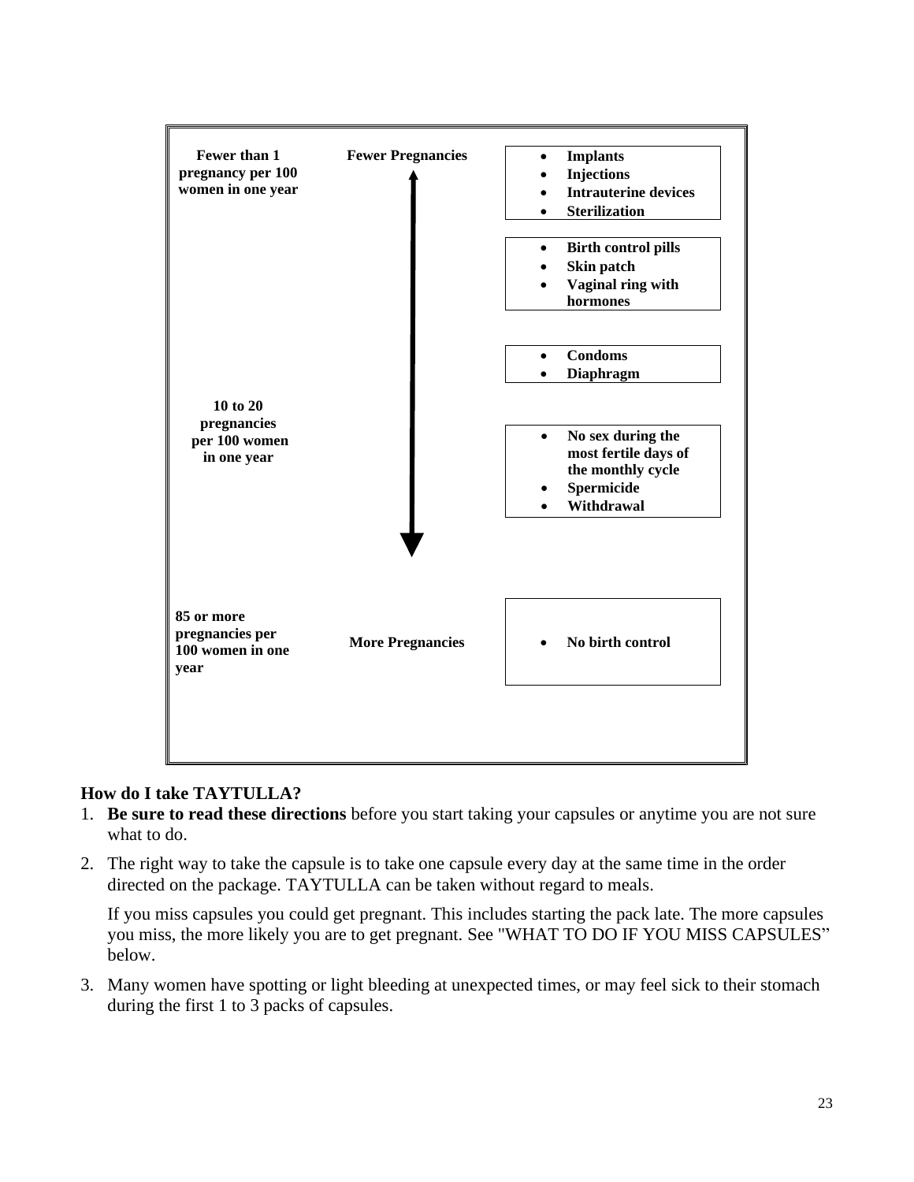

### **How do I take TAYTULLA?**

- 1. **Be sure to read these directions** before you start taking your capsules or anytime you are not sure what to do.
- 2. The right way to take the capsule is to take one capsule every day at the same time in the order directed on the package. TAYTULLA can be taken without regard to meals.

If you miss capsules you could get pregnant. This includes starting the pack late. The more capsules you miss, the more likely you are to get pregnant. See ["WHAT TO DO IF YOU MISS CAPSULES"](#page-25-0) below.

3. Many women have spotting or light bleeding at unexpected times, or may feel sick to their stomach during the first 1 to 3 packs of capsules.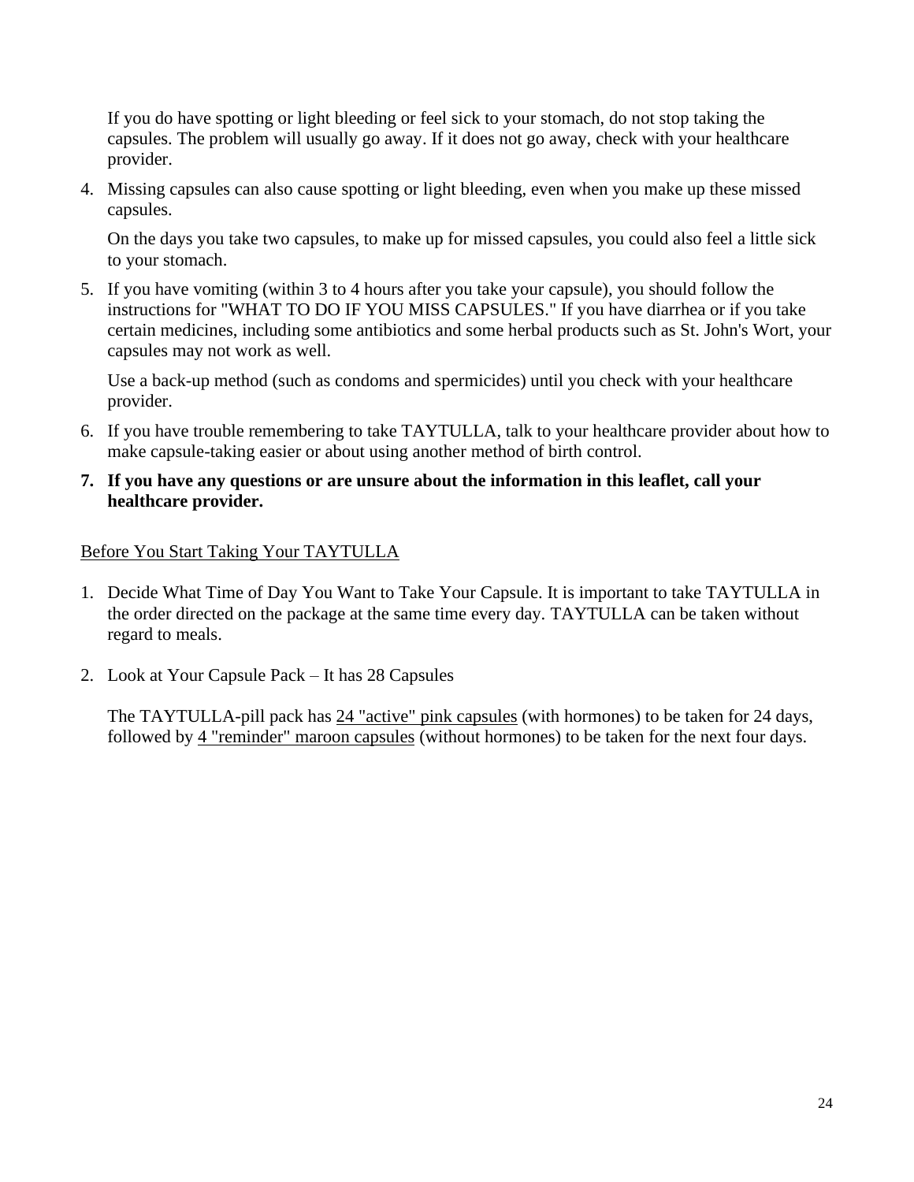If you do have spotting or light bleeding or feel sick to your stomach, do not stop taking the capsules. The problem will usually go away. If it does not go away, check with your healthcare provider.

4. Missing capsules can also cause spotting or light bleeding, even when you make up these missed capsules.

On the days you take two capsules, to make up for missed capsules, you could also feel a little sick to your stomach.

5. If you have vomiting (within 3 to 4 hours after you take your capsule), you should follow the instructions for ["WHAT TO DO IF YOU MISS](#page-25-0) CAPSULES." If you have diarrhea or if you take certain medicines, including some antibiotics and some herbal products such as St. John's Wort, your capsules may not work as well.

Use a back-up method (such as condoms and spermicides) until you check with your healthcare provider.

- 6. If you have trouble remembering to take TAYTULLA, talk to your healthcare provider about how to make capsule-taking easier or about using another method of birth control.
- **7. If you have any questions or are unsure about the information in this leaflet, call your healthcare provider.**

### Before You Start Taking Your TAYTULLA

- 1. Decide What Time of Day You Want to Take Your Capsule. It is important to take TAYTULLA in the order directed on the package at the same time every day. TAYTULLA can be taken without regard to meals.
- 2. Look at Your Capsule Pack It has 28 Capsules

The TAYTULLA-pill pack has  $24$  "active" pink capsules (with hormones) to be taken for 24 days, followed by 4 "reminder" maroon capsules (without hormones) to be taken for the next four days.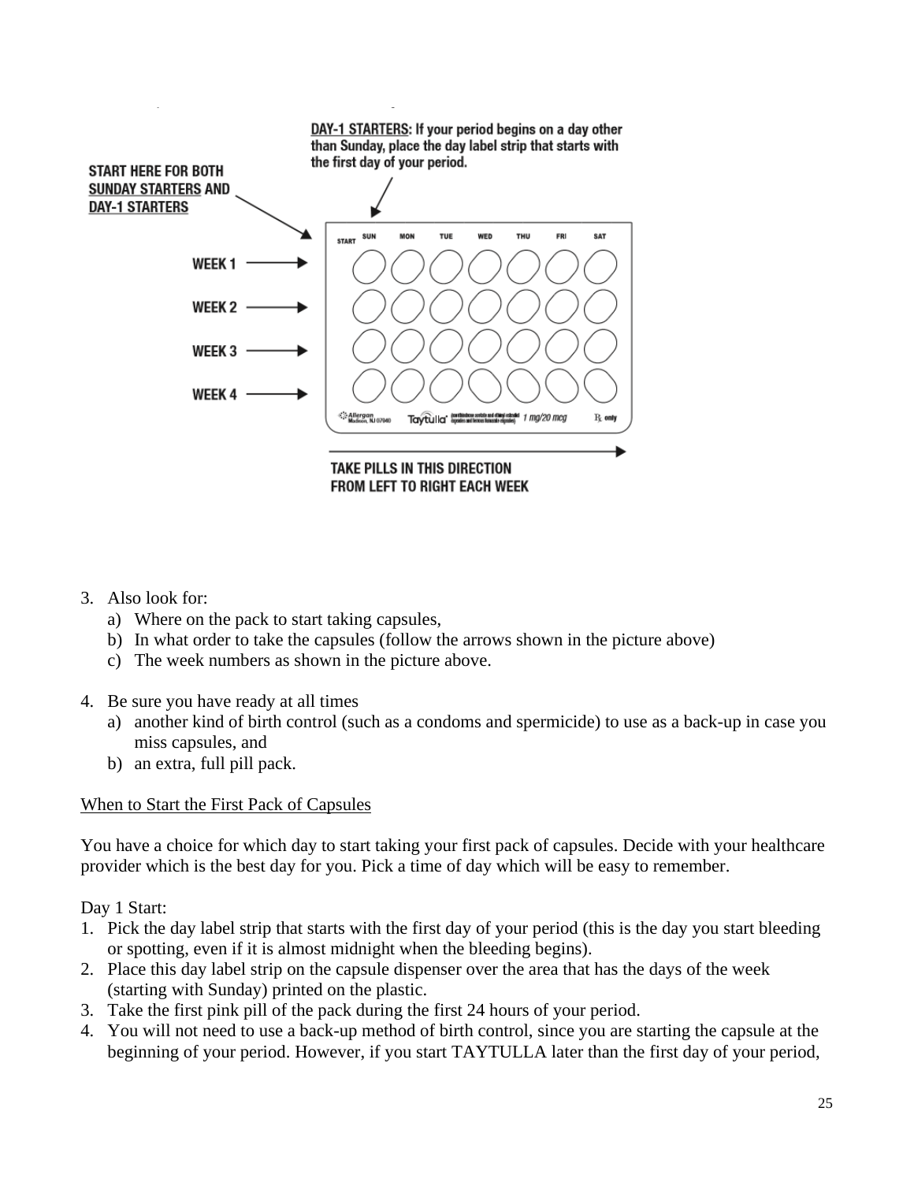

- 3. Also look for:
	- a) Where on the pack to start taking capsules,
	- b) In what order to take the capsules (follow the arrows shown in the picture above)
	- c) The week numbers as shown in the picture above.
- 4. Be sure you have ready at all times
	- a) another kind of birth control (such as a condoms and spermicide) to use as a back-up in case you miss capsules, and
	- b) an extra, full pill pack.

### When to Start the First Pack of Capsules

You have a choice for which day to start taking your first pack of capsules. Decide with your healthcare provider which is the best day for you. Pick a time of day which will be easy to remember.

Day 1 Start:

- 1. Pick the day label strip that starts with the first day of your period (this is the day you start bleeding or spotting, even if it is almost midnight when the bleeding begins).
- 2. Place this day label strip on the capsule dispenser over the area that has the days of the week (starting with Sunday) printed on the plastic.
- 3. Take the first pink pill of the pack during the first 24 hours of your period.
- 4. You will not need to use a back-up method of birth control, since you are starting the capsule at the beginning of your period. However, if you start TAYTULLA later than the first day of your period,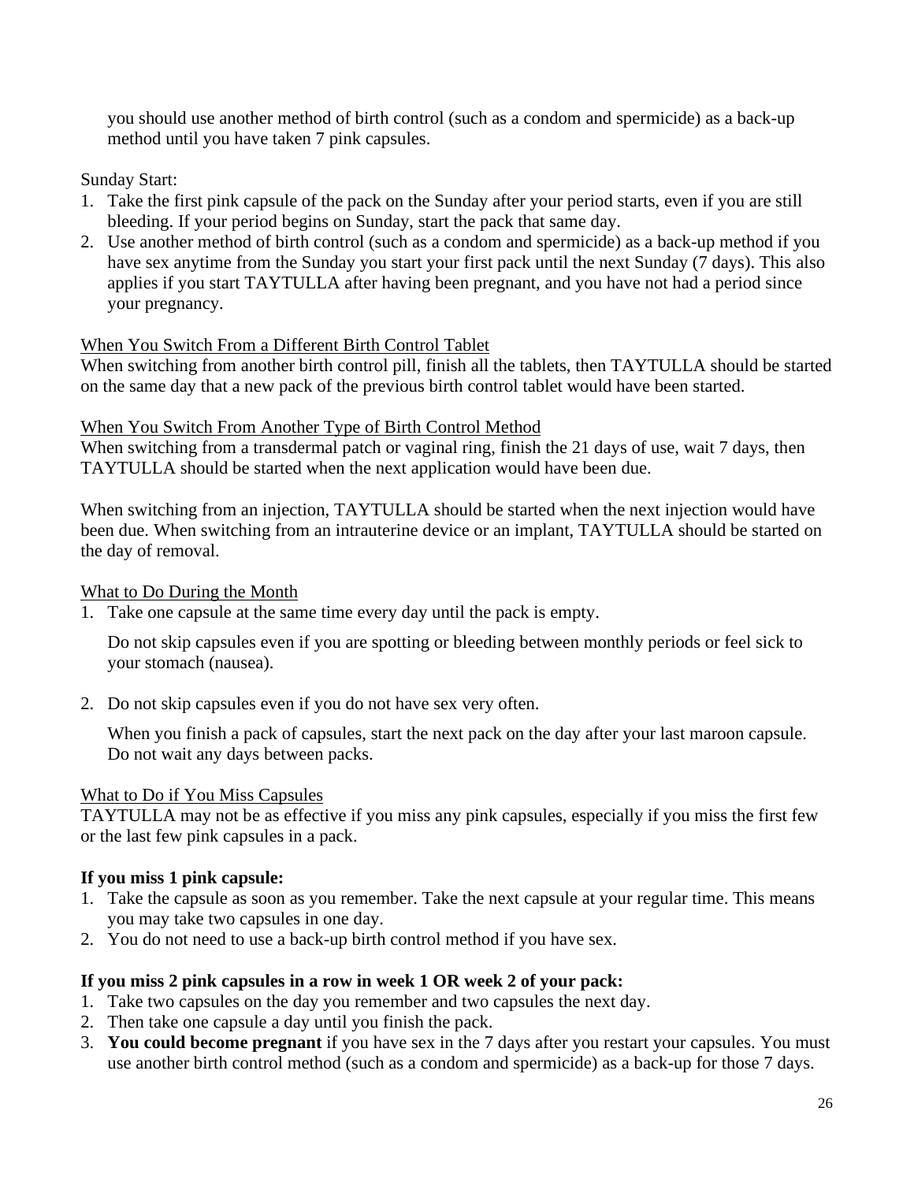you should use another method of birth control (such as a condom and spermicide) as a back-up method until you have taken 7 pink capsules.

Sunday Start:

- 1. Take the first pink capsule of the pack on the Sunday after your period starts, even if you are still bleeding. If your period begins on Sunday, start the pack that same day.
- 2. Use another method of birth control (such as a condom and spermicide) as a back-up method if you have sex anytime from the Sunday you start your first pack until the next Sunday (7 days). This also applies if you start TAYTULLA after having been pregnant, and you have not had a period since your pregnancy.

### When You Switch From a Different Birth Control Tablet

When switching from another birth control pill, finish all the tablets, then TAYTULLA should be started on the same day that a new pack of the previous birth control tablet would have been started.

### When You Switch From Another Type of Birth Control Method

When switching from a transdermal patch or vaginal ring, finish the 21 days of use, wait 7 days, then TAYTULLA should be started when the next application would have been due.

When switching from an injection, TAYTULLA should be started when the next injection would have been due. When switching from an intrauterine device or an implant, TAYTULLA should be started on the day of removal.

### What to Do During the Month

1. Take one capsule at the same time every day until the pack is empty.

Do not skip capsules even if you are spotting or bleeding between monthly periods or feel sick to your stomach (nausea).

2. Do not skip capsules even if you do not have sex very often.

When you finish a pack of capsules, start the next pack on the day after your last maroon capsule. Do not wait any days between packs.

## <span id="page-25-0"></span>What to Do if You Miss Capsules

TAYTULLA may not be as effective if you miss any pink capsules, especially if you miss the first few or the last few pink capsules in a pack.

## **If you miss 1 pink capsule:**

- 1. Take the capsule as soon as you remember. Take the next capsule at your regular time. This means you may take two capsules in one day.
- 2. You do not need to use a back-up birth control method if you have sex.

## **If you miss 2 pink capsules in a row in week 1 OR week 2 of your pack:**

- 1. Take two capsules on the day you remember and two capsules the next day.
- 2. Then take one capsule a day until you finish the pack.
- 3. **You could become pregnant** if you have sex in the 7 days after you restart your capsules. You must use another birth control method (such as a condom and spermicide) as a back-up for those 7 days.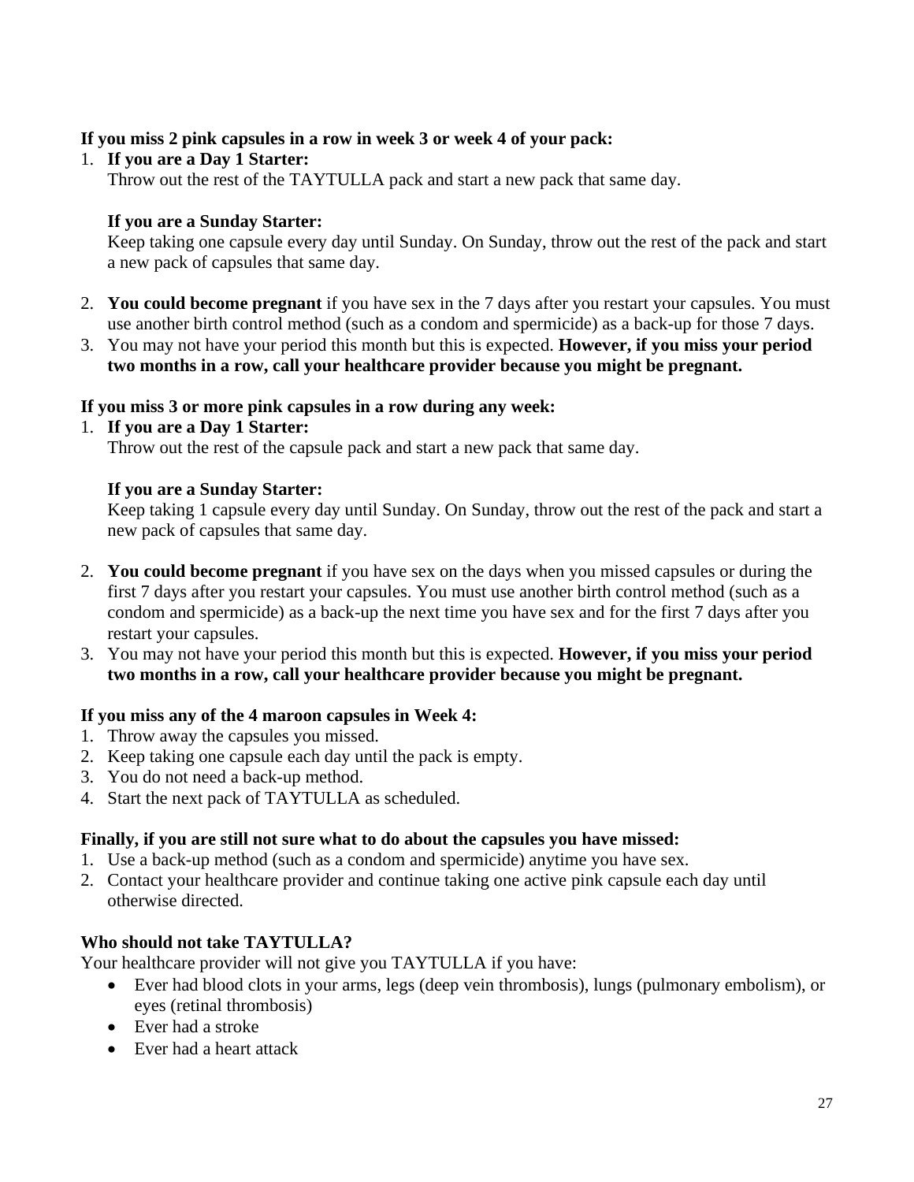### **If you miss 2 pink capsules in a row in week 3 or week 4 of your pack:**

### 1. **If you are a Day 1 Starter:**

Throw out the rest of the TAYTULLA pack and start a new pack that same day.

### **If you are a Sunday Starter:**

Keep taking one capsule every day until Sunday. On Sunday, throw out the rest of the pack and start a new pack of capsules that same day.

- 2. **You could become pregnant** if you have sex in the 7 days after you restart your capsules. You must use another birth control method (such as a condom and spermicide) as a back-up for those 7 days.
- 3. You may not have your period this month but this is expected. **However, if you miss your period two months in a row, call your healthcare provider because you might be pregnant.**

### **If you miss 3 or more pink capsules in a row during any week:**

1. **If you are a Day 1 Starter:**  Throw out the rest of the capsule pack and start a new pack that same day.

### **If you are a Sunday Starter:**

Keep taking 1 capsule every day until Sunday. On Sunday, throw out the rest of the pack and start a new pack of capsules that same day.

- 2. **You could become pregnant** if you have sex on the days when you missed capsules or during the first 7 days after you restart your capsules. You must use another birth control method (such as a condom and spermicide) as a back-up the next time you have sex and for the first 7 days after you restart your capsules.
- 3. You may not have your period this month but this is expected. **However, if you miss your period two months in a row, call your healthcare provider because you might be pregnant.**

### **If you miss any of the 4 maroon capsules in Week 4:**

- 1. Throw away the capsules you missed.
- 2. Keep taking one capsule each day until the pack is empty.
- 3. You do not need a back-up method.
- 4. Start the next pack of TAYTULLA as scheduled.

### **Finally, if you are still not sure what to do about the capsules you have missed:**

- 1. Use a back-up method (such as a condom and spermicide) anytime you have sex.
- 2. Contact your healthcare provider and continue taking one active pink capsule each day until otherwise directed.

### **Who should not take TAYTULLA?**

Your healthcare provider will not give you TAYTULLA if you have:

- Ever had blood clots in your arms, legs (deep vein thrombosis), lungs (pulmonary embolism), or eyes (retinal thrombosis)
- Ever had a stroke
- Ever had a heart attack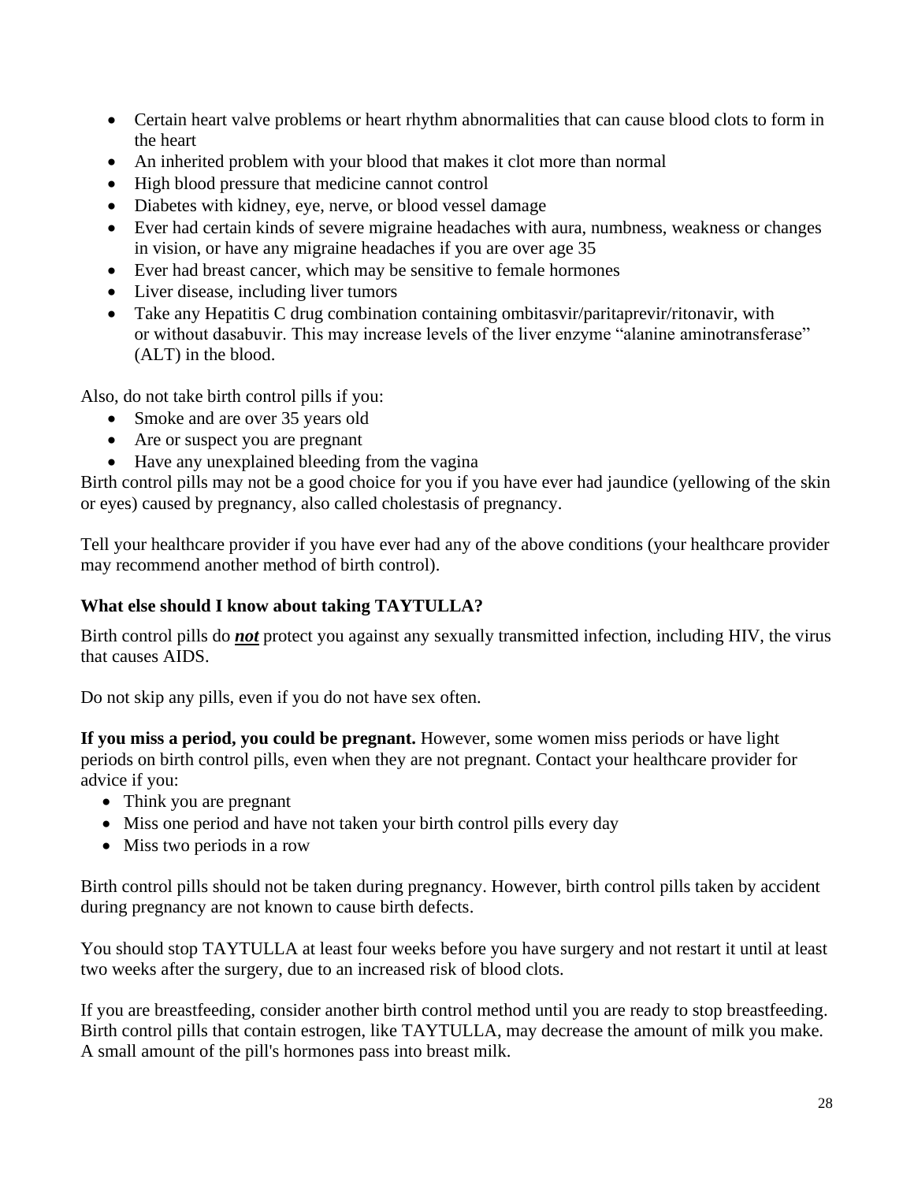- Certain heart valve problems or heart rhythm abnormalities that can cause blood clots to form in the heart
- An inherited problem with your blood that makes it clot more than normal
- High blood pressure that medicine cannot control
- Diabetes with kidney, eye, nerve, or blood vessel damage
- Ever had certain kinds of severe migraine headaches with aura, numbness, weakness or changes in vision, or have any migraine headaches if you are over age 35
- Ever had breast cancer, which may be sensitive to female hormones
- Liver disease, including liver tumors
- Take any Hepatitis C drug combination containing ombitasvir/paritaprevir/ritonavir, with or without dasabuvir. This may increase levels of the liver enzyme "alanine aminotransferase" (ALT) in the blood.

Also, do not take birth control pills if you:

- Smoke and are over 35 years old
- Are or suspect you are pregnant
- Have any unexplained bleeding from the vagina

Birth control pills may not be a good choice for you if you have ever had jaundice (yellowing of the skin or eyes) caused by pregnancy, also called cholestasis of pregnancy.

Tell your healthcare provider if you have ever had any of the above conditions (your healthcare provider may recommend another method of birth control).

# **What else should I know about taking TAYTULLA?**

Birth control pills do *not* protect you against any sexually transmitted infection, including HIV, the virus that causes AIDS.

Do not skip any pills, even if you do not have sex often.

**If you miss a period, you could be pregnant.** However, some women miss periods or have light periods on birth control pills, even when they are not pregnant. Contact your healthcare provider for advice if you:

- Think you are pregnant
- Miss one period and have not taken your birth control pills every day
- Miss two periods in a row

Birth control pills should not be taken during pregnancy. However, birth control pills taken by accident during pregnancy are not known to cause birth defects.

You should stop TAYTULLA at least four weeks before you have surgery and not restart it until at least two weeks after the surgery, due to an increased risk of blood clots.

If you are breastfeeding, consider another birth control method until you are ready to stop breastfeeding. Birth control pills that contain estrogen, like TAYTULLA, may decrease the amount of milk you make. A small amount of the pill's hormones pass into breast milk.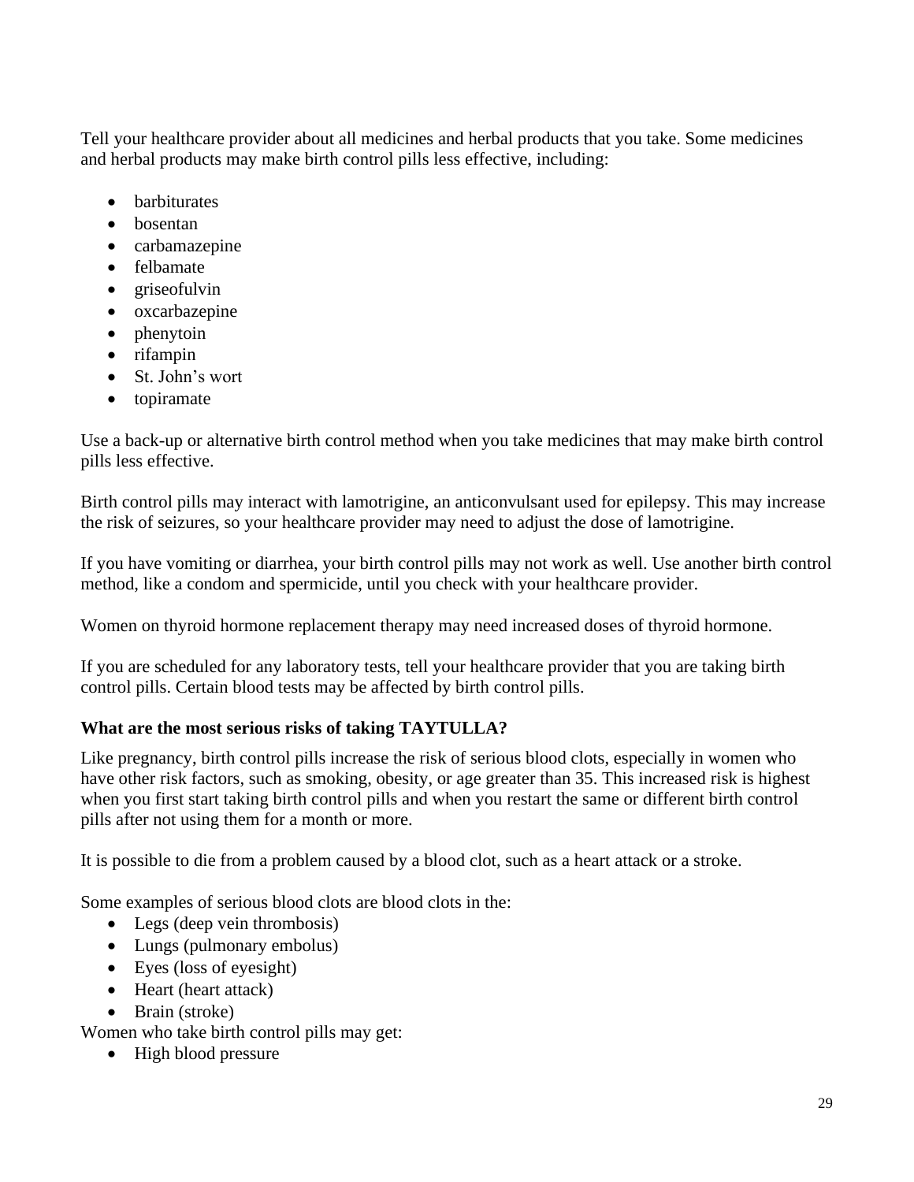Tell your healthcare provider about all medicines and herbal products that you take. Some medicines and herbal products may make birth control pills less effective, including:

- barbiturates
- bosentan
- carbamazepine
- felbamate
- griseofulvin
- oxcarbazepine
- phenytoin
- rifampin
- St. John's wort
- topiramate

Use a back-up or alternative birth control method when you take medicines that may make birth control pills less effective.

Birth control pills may interact with lamotrigine, an anticonvulsant used for epilepsy. This may increase the risk of seizures, so your healthcare provider may need to adjust the dose of lamotrigine.

If you have vomiting or diarrhea, your birth control pills may not work as well. Use another birth control method, like a condom and spermicide, until you check with your healthcare provider.

Women on thyroid hormone replacement therapy may need increased doses of thyroid hormone.

If you are scheduled for any laboratory tests, tell your healthcare provider that you are taking birth control pills. Certain blood tests may be affected by birth control pills.

# **What are the most serious risks of taking TAYTULLA?**

Like pregnancy, birth control pills increase the risk of serious blood clots, especially in women who have other risk factors, such as smoking, obesity, or age greater than 35. This increased risk is highest when you first start taking birth control pills and when you restart the same or different birth control pills after not using them for a month or more.

It is possible to die from a problem caused by a blood clot, such as a heart attack or a stroke.

Some examples of serious blood clots are blood clots in the:

- Legs (deep vein thrombosis)
- Lungs (pulmonary embolus)
- Eyes (loss of eyesight)
- Heart (heart attack)
- Brain (stroke)

Women who take birth control pills may get:

• High blood pressure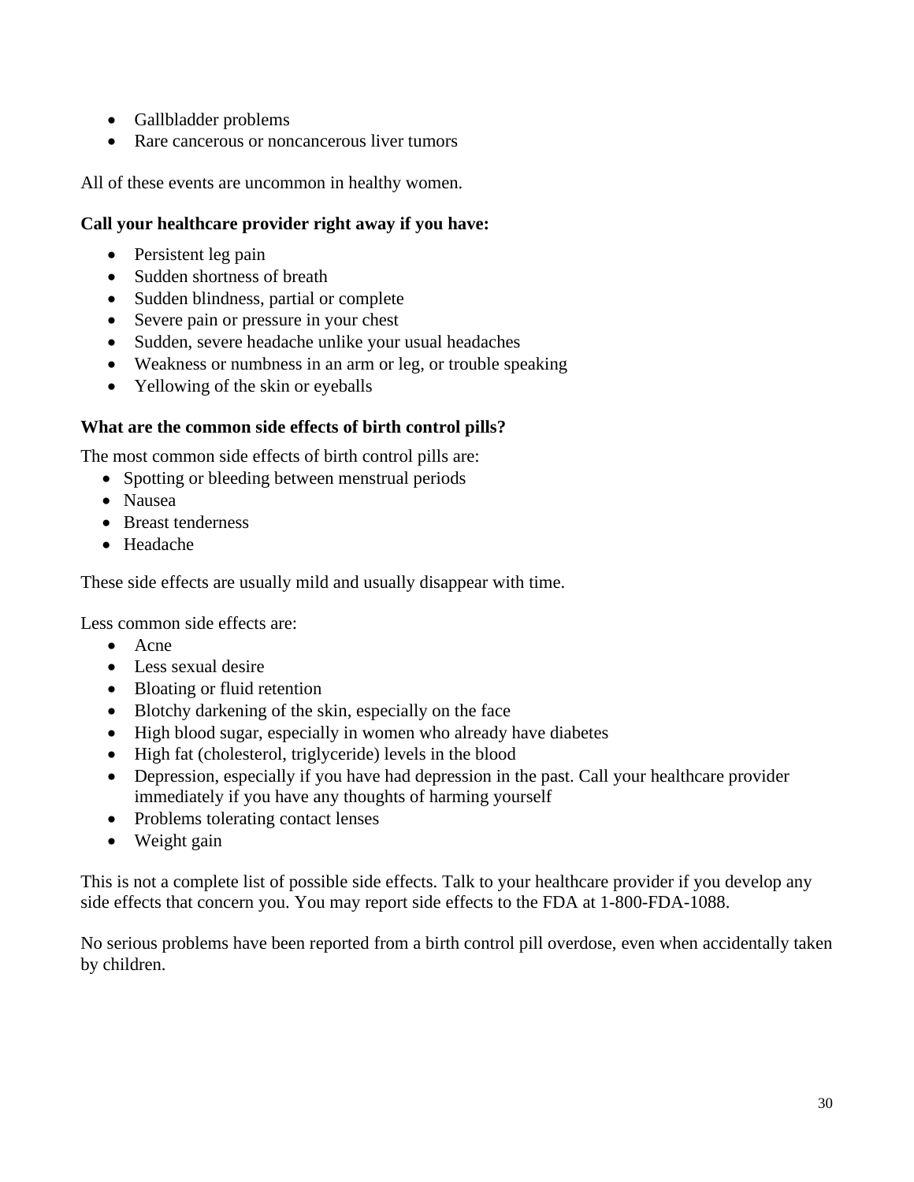- Gallbladder problems
- Rare cancerous or noncancerous liver tumors

All of these events are uncommon in healthy women.

### **Call your healthcare provider right away if you have:**

- Persistent leg pain
- Sudden shortness of breath
- Sudden blindness, partial or complete
- Severe pain or pressure in your chest
- Sudden, severe headache unlike your usual headaches
- Weakness or numbness in an arm or leg, or trouble speaking
- Yellowing of the skin or eyeballs

### **What are the common side effects of birth control pills?**

The most common side effects of birth control pills are:

- Spotting or bleeding between menstrual periods
- Nausea
- Breast tenderness
- Headache

These side effects are usually mild and usually disappear with time.

Less common side effects are:

- Acne
- Less sexual desire
- Bloating or fluid retention
- Blotchy darkening of the skin, especially on the face
- High blood sugar, especially in women who already have diabetes
- High fat (cholesterol, triglyceride) levels in the blood
- Depression, especially if you have had depression in the past. Call your healthcare provider immediately if you have any thoughts of harming yourself
- Problems tolerating contact lenses
- Weight gain

This is not a complete list of possible side effects. Talk to your healthcare provider if you develop any side effects that concern you. You may report side effects to the FDA at 1-800-FDA-1088.

No serious problems have been reported from a birth control pill overdose, even when accidentally taken by children.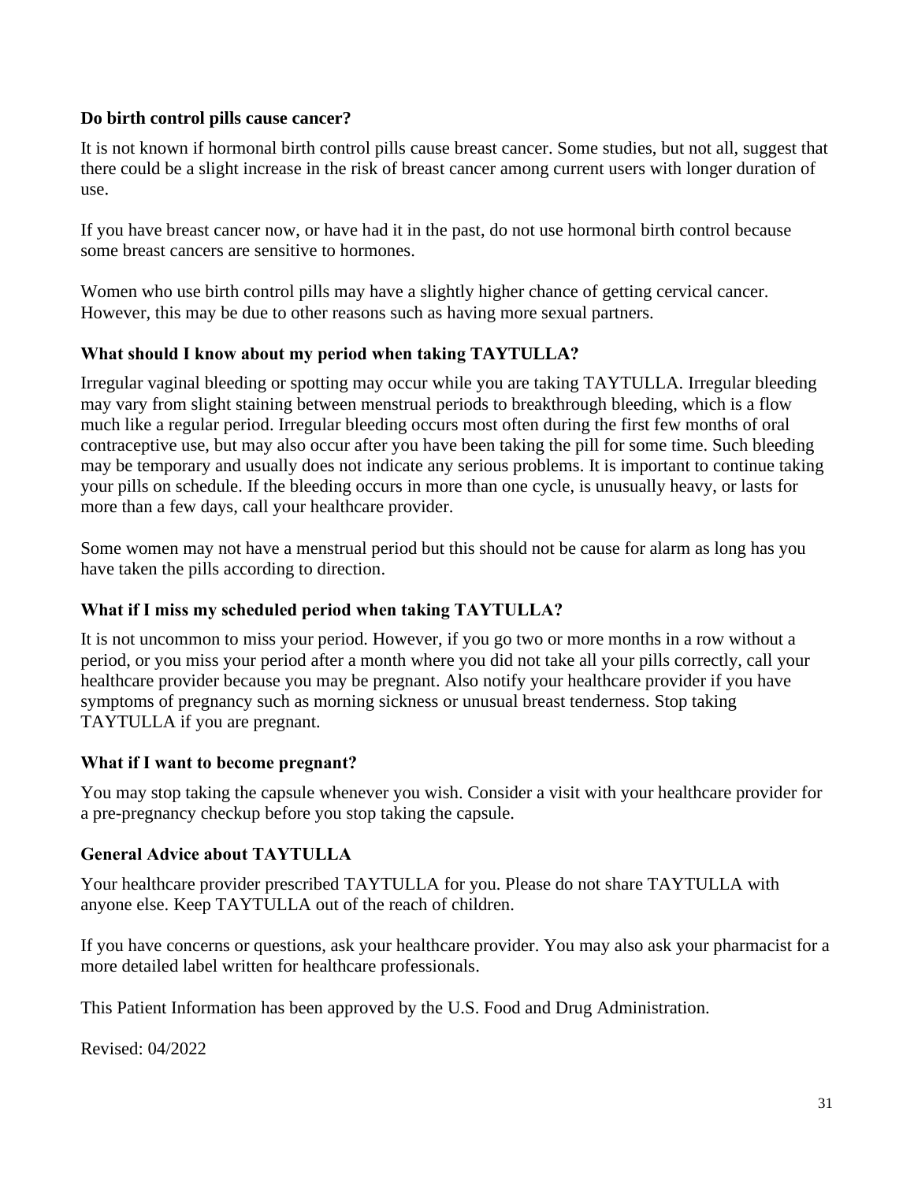### **Do birth control pills cause cancer?**

It is not known if hormonal birth control pills cause breast cancer. Some studies, but not all, suggest that there could be a slight increase in the risk of breast cancer among current users with longer duration of use.

If you have breast cancer now, or have had it in the past, do not use hormonal birth control because some breast cancers are sensitive to hormones.

Women who use birth control pills may have a slightly higher chance of getting cervical cancer. However, this may be due to other reasons such as having more sexual partners.

### **What should I know about my period when taking TAYTULLA?**

Irregular vaginal bleeding or spotting may occur while you are taking TAYTULLA. Irregular bleeding may vary from slight staining between menstrual periods to breakthrough bleeding, which is a flow much like a regular period. Irregular bleeding occurs most often during the first few months of oral contraceptive use, but may also occur after you have been taking the pill for some time. Such bleeding may be temporary and usually does not indicate any serious problems. It is important to continue taking your pills on schedule. If the bleeding occurs in more than one cycle, is unusually heavy, or lasts for more than a few days, call your healthcare provider.

Some women may not have a menstrual period but this should not be cause for alarm as long has you have taken the pills according to direction.

### **What if I miss my scheduled period when taking TAYTULLA?**

It is not uncommon to miss your period. However, if you go two or more months in a row without a period, or you miss your period after a month where you did not take all your pills correctly, call your healthcare provider because you may be pregnant. Also notify your healthcare provider if you have symptoms of pregnancy such as morning sickness or unusual breast tenderness. Stop taking TAYTULLA if you are pregnant.

### **What if I want to become pregnant?**

You may stop taking the capsule whenever you wish. Consider a visit with your healthcare provider for a pre-pregnancy checkup before you stop taking the capsule.

### **General Advice about TAYTULLA**

Your healthcare provider prescribed TAYTULLA for you. Please do not share TAYTULLA with anyone else. Keep TAYTULLA out of the reach of children.

If you have concerns or questions, ask your healthcare provider. You may also ask your pharmacist for a more detailed label written for healthcare professionals.

This Patient Information has been approved by the U.S. Food and Drug Administration.

Revised: 04/2022